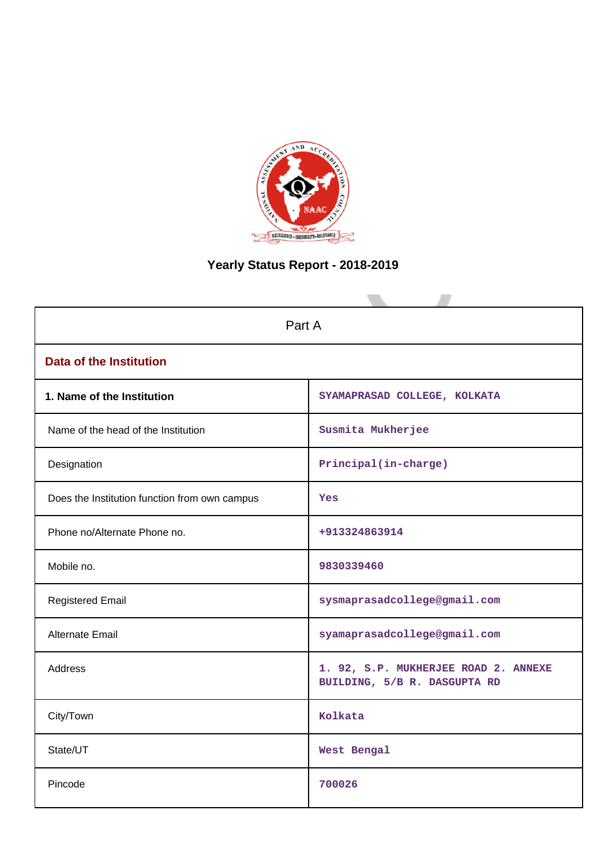

# **Yearly Status Report - 2018-2019**

|                                               | Part A                                                               |  |  |  |  |
|-----------------------------------------------|----------------------------------------------------------------------|--|--|--|--|
| <b>Data of the Institution</b>                |                                                                      |  |  |  |  |
| 1. Name of the Institution                    | SYAMAPRASAD COLLEGE, KOLKATA                                         |  |  |  |  |
| Name of the head of the Institution           | Susmita Mukherjee                                                    |  |  |  |  |
| Designation                                   | Principal(in-charge)                                                 |  |  |  |  |
| Does the Institution function from own campus | Yes                                                                  |  |  |  |  |
| Phone no/Alternate Phone no.                  | +913324863914                                                        |  |  |  |  |
| Mobile no.                                    | 9830339460                                                           |  |  |  |  |
| <b>Registered Email</b>                       | sysmaprasadcollege@gmail.com                                         |  |  |  |  |
| Alternate Email                               | syamaprasadcollege@gmail.com                                         |  |  |  |  |
| <b>Address</b>                                | 1. 92, S.P. MUKHERJEE ROAD 2. ANNEXE<br>BUILDING, 5/B R. DASGUPTA RD |  |  |  |  |
| City/Town                                     | Kolkata                                                              |  |  |  |  |
| State/UT                                      | West Bengal                                                          |  |  |  |  |
| Pincode                                       | 700026                                                               |  |  |  |  |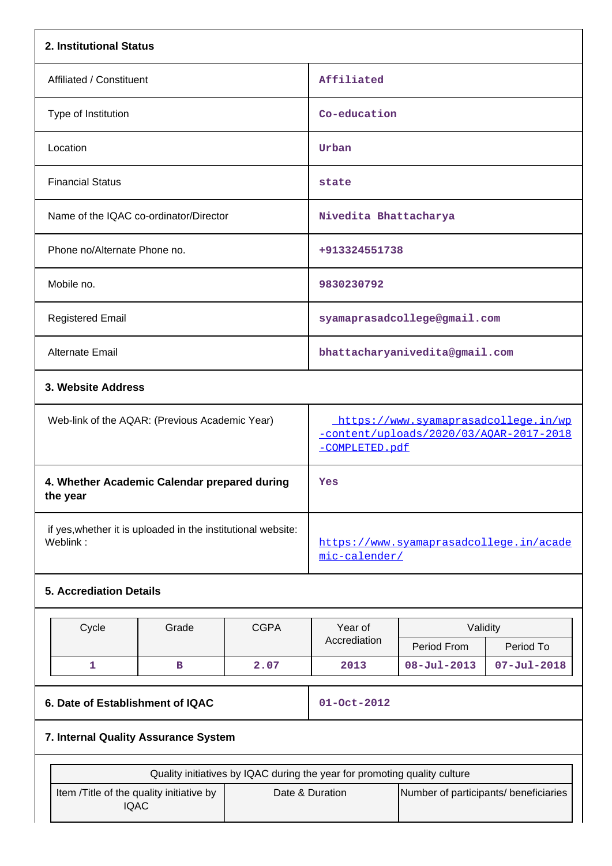| 2. Institutional Status                                                   |                          |             |                                                                                                   |                                |                   |  |
|---------------------------------------------------------------------------|--------------------------|-------------|---------------------------------------------------------------------------------------------------|--------------------------------|-------------------|--|
|                                                                           | Affiliated / Constituent |             |                                                                                                   | Affiliated                     |                   |  |
| Type of Institution                                                       |                          |             |                                                                                                   | Co-education                   |                   |  |
| Location                                                                  |                          |             | Urban                                                                                             |                                |                   |  |
| <b>Financial Status</b>                                                   |                          |             | state                                                                                             |                                |                   |  |
| Name of the IQAC co-ordinator/Director                                    |                          |             | Nivedita Bhattacharya                                                                             |                                |                   |  |
| Phone no/Alternate Phone no.                                              |                          |             | +913324551738                                                                                     |                                |                   |  |
| Mobile no.                                                                |                          |             | 9830230792                                                                                        |                                |                   |  |
| <b>Registered Email</b>                                                   |                          |             |                                                                                                   | syamaprasadcollege@gmail.com   |                   |  |
| Alternate Email                                                           |                          |             |                                                                                                   | bhattacharyanivedita@gmail.com |                   |  |
| 3. Website Address                                                        |                          |             |                                                                                                   |                                |                   |  |
| Web-link of the AQAR: (Previous Academic Year)                            |                          |             | https://www.syamaprasadcollege.in/wp<br>-content/uploads/2020/03/AQAR-2017-2018<br>-COMPLETED.pdf |                                |                   |  |
| 4. Whether Academic Calendar prepared during<br>the year                  |                          |             | Yes                                                                                               |                                |                   |  |
| if yes, whether it is uploaded in the institutional website:<br>Weblink:  |                          |             | https://www.syamaprasadcollege.in/acade<br>mic-calender/                                          |                                |                   |  |
| <b>5. Accrediation Details</b>                                            |                          |             |                                                                                                   |                                |                   |  |
| Cycle                                                                     | Grade                    | <b>CGPA</b> | Year of                                                                                           | Validity                       |                   |  |
|                                                                           |                          |             | Accrediation                                                                                      | Period From                    | Period To         |  |
| $\mathbf{1}$                                                              | $\mathbf B$              | 2.07        | 2013                                                                                              | $08 - Jul - 2013$              | $07 - Jul - 2018$ |  |
| 6. Date of Establishment of IQAC                                          |                          |             | $01 - Oct - 2012$                                                                                 |                                |                   |  |
| 7. Internal Quality Assurance System                                      |                          |             |                                                                                                   |                                |                   |  |
| Quality initiatives by IQAC during the year for promoting quality culture |                          |             |                                                                                                   |                                |                   |  |
| Item /Title of the quality initiative by<br><b>IQAC</b>                   |                          |             | Date & Duration<br>Number of participants/ beneficiaries                                          |                                |                   |  |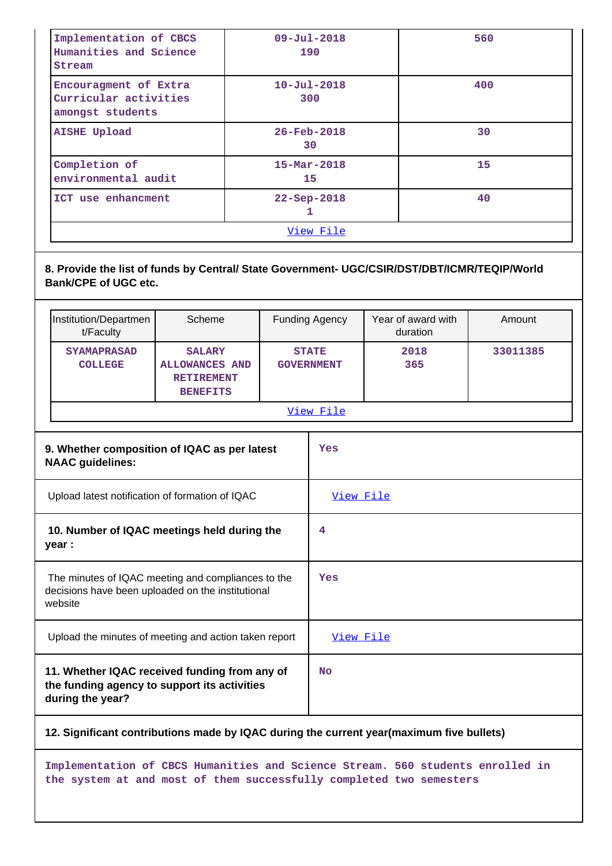| Implementation of CBCS<br>Humanities and Science<br>Stream         | $09 - Ju1 - 2018$<br>190       | 560 |  |  |  |
|--------------------------------------------------------------------|--------------------------------|-----|--|--|--|
| Encouragment of Extra<br>Curricular activities<br>amongst students | $10 - Ju1 - 2018$<br>300       | 400 |  |  |  |
| <b>AISHE Upload</b>                                                | $26 - Feb - 2018$<br>30        | 30  |  |  |  |
| Completion of<br>environmental audit                               | $15 - \text{Mar} - 2018$<br>15 | 15  |  |  |  |
| ICT use enhancment                                                 | 22-Sep-2018                    | 40  |  |  |  |
| View File                                                          |                                |     |  |  |  |

# **8. Provide the list of funds by Central/ State Government- UGC/CSIR/DST/DBT/ICMR/TEQIP/World Bank/CPE of UGC etc.**

| Institution/Departmen<br>t/Faculty                                                                                 | Scheme                                                                         |  | <b>Funding Agency</b>             | Year of award with<br>duration | Amount   |
|--------------------------------------------------------------------------------------------------------------------|--------------------------------------------------------------------------------|--|-----------------------------------|--------------------------------|----------|
| <b>SYAMAPRASAD</b><br><b>COLLEGE</b>                                                                               | <b>SALARY</b><br><b>ALLOWANCES AND</b><br><b>RETIREMENT</b><br><b>BENEFITS</b> |  | <b>STATE</b><br><b>GOVERNMENT</b> | 2018<br>365                    | 33011385 |
|                                                                                                                    |                                                                                |  | View File                         |                                |          |
| 9. Whether composition of IQAC as per latest<br><b>NAAC</b> guidelines:                                            |                                                                                |  | Yes                               |                                |          |
|                                                                                                                    | Upload latest notification of formation of IQAC                                |  | View File                         |                                |          |
| 10. Number of IQAC meetings held during the<br>year :                                                              |                                                                                |  | 4                                 |                                |          |
| The minutes of IQAC meeting and compliances to the<br>decisions have been uploaded on the institutional<br>website |                                                                                |  | Yes                               |                                |          |
| Upload the minutes of meeting and action taken report                                                              |                                                                                |  | View File                         |                                |          |
| 11. Whether IQAC received funding from any of<br>the funding agency to support its activities<br>during the year?  |                                                                                |  | No                                |                                |          |

### **12. Significant contributions made by IQAC during the current year(maximum five bullets)**

**Implementation of CBCS Humanities and Science Stream. 560 students enrolled in the system at and most of them successfully completed two semesters**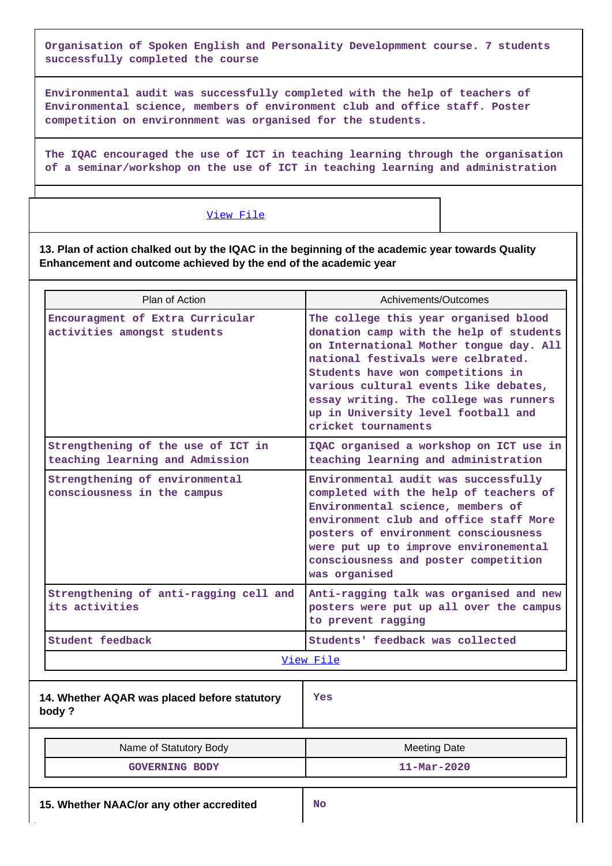**Organisation of Spoken English and Personality Developmment course. 7 students successfully completed the course**

**Environmental audit was successfully completed with the help of teachers of Environmental science, members of environment club and office staff. Poster competition on environnment was organised for the students.**

**The IQAC encouraged the use of ICT in teaching learning through the organisation of a seminar/workshop on the use of ICT in teaching learning and administration**

### [View File](https://assessmentonline.naac.gov.in/public/Postacc/Contribution/2479_Contribution.xlsx)

**13. Plan of action chalked out by the IQAC in the beginning of the academic year towards Quality Enhancement and outcome achieved by the end of the academic year**

| Plan of Action                                                        | Achivements/Outcomes                                                                                                                                                                                                                                                                                                                                    |  |  |  |
|-----------------------------------------------------------------------|---------------------------------------------------------------------------------------------------------------------------------------------------------------------------------------------------------------------------------------------------------------------------------------------------------------------------------------------------------|--|--|--|
| Encouragment of Extra Curricular<br>activities amongst students       | The college this year organised blood<br>donation camp with the help of students<br>on International Mother tongue day. All<br>national festivals were celbrated.<br>Students have won competitions in<br>various cultural events like debates,<br>essay writing. The college was runners<br>up in University level football and<br>cricket tournaments |  |  |  |
| Strengthening of the use of ICT in<br>teaching learning and Admission | IQAC organised a workshop on ICT use in<br>teaching learning and administration                                                                                                                                                                                                                                                                         |  |  |  |
| Strengthening of environmental<br>consciousness in the campus         | Environmental audit was successfully<br>completed with the help of teachers of<br>Environmental science, members of<br>environment club and office staff More<br>posters of environment consciousness<br>were put up to improve environemental<br>consciousness and poster competition<br>was organised                                                 |  |  |  |
| Strengthening of anti-ragging cell and<br>its activities              | Anti-ragging talk was organised and new<br>posters were put up all over the campus<br>to prevent ragging                                                                                                                                                                                                                                                |  |  |  |
| Student feedback                                                      | Students' feedback was collected                                                                                                                                                                                                                                                                                                                        |  |  |  |
|                                                                       | View File                                                                                                                                                                                                                                                                                                                                               |  |  |  |
| 14. Whether AQAR was placed before statutory<br>body?                 | <b>Yes</b>                                                                                                                                                                                                                                                                                                                                              |  |  |  |

| Name of Statutory Body | Meeting Date             |
|------------------------|--------------------------|
| <b>GOVERNING BODY</b>  | $11 - \text{Mar} - 2020$ |
|                        |                          |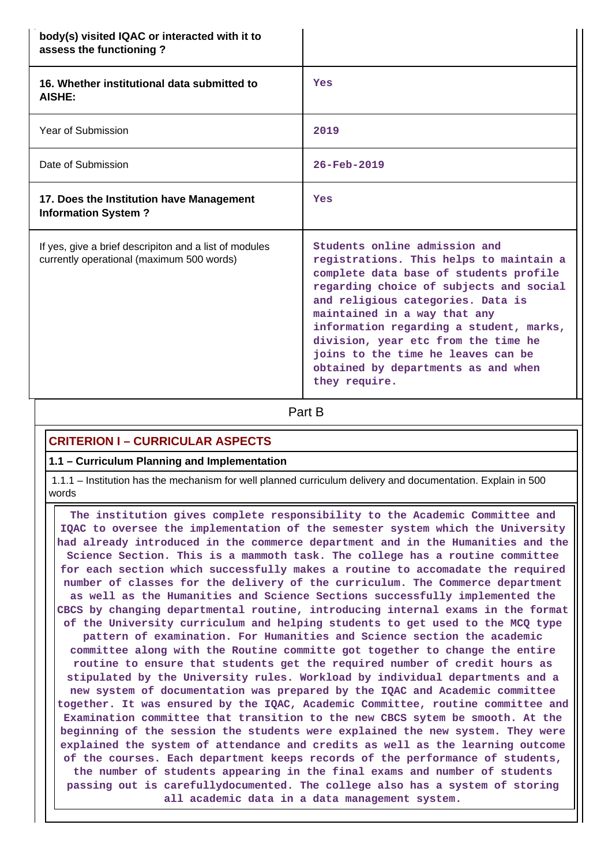| body(s) visited IQAC or interacted with it to<br>assess the functioning?                            |                                                                                                                                                                                                                                                                                                                                                                                                                    |
|-----------------------------------------------------------------------------------------------------|--------------------------------------------------------------------------------------------------------------------------------------------------------------------------------------------------------------------------------------------------------------------------------------------------------------------------------------------------------------------------------------------------------------------|
| 16. Whether institutional data submitted to<br>AISHE:                                               | Yes                                                                                                                                                                                                                                                                                                                                                                                                                |
| Year of Submission                                                                                  | 2019                                                                                                                                                                                                                                                                                                                                                                                                               |
| Date of Submission                                                                                  | $26 - Feb - 2019$                                                                                                                                                                                                                                                                                                                                                                                                  |
| 17. Does the Institution have Management<br><b>Information System?</b>                              | Yes                                                                                                                                                                                                                                                                                                                                                                                                                |
| If yes, give a brief descripiton and a list of modules<br>currently operational (maximum 500 words) | Students online admission and<br>registrations. This helps to maintain a<br>complete data base of students profile<br>regarding choice of subjects and social<br>and religious categories. Data is<br>maintained in a way that any<br>information regarding a student, marks,<br>division, year etc from the time he<br>joins to the time he leaves can be<br>obtained by departments as and when<br>they require. |

**Part B** 

# **CRITERION I – CURRICULAR ASPECTS**

### **1.1 – Curriculum Planning and Implementation**

 1.1.1 – Institution has the mechanism for well planned curriculum delivery and documentation. Explain in 500 words

 **The institution gives complete responsibility to the Academic Committee and IQAC to oversee the implementation of the semester system which the University had already introduced in the commerce department and in the Humanities and the Science Section. This is a mammoth task. The college has a routine committee for each section which successfully makes a routine to accomadate the required number of classes for the delivery of the curriculum. The Commerce department as well as the Humanities and Science Sections successfully implemented the CBCS by changing departmental routine, introducing internal exams in the format of the University curriculum and helping students to get used to the MCQ type pattern of examination. For Humanities and Science section the academic committee along with the Routine committe got together to change the entire routine to ensure that students get the required number of credit hours as stipulated by the University rules. Workload by individual departments and a new system of documentation was prepared by the IQAC and Academic committee together. It was ensured by the IQAC, Academic Committee, routine committee and Examination committee that transition to the new CBCS sytem be smooth. At the beginning of the session the students were explained the new system. They were explained the system of attendance and credits as well as the learning outcome of the courses. Each department keeps records of the performance of students, the number of students appearing in the final exams and number of students passing out is carefullydocumented. The college also has a system of storing all academic data in a data management system.**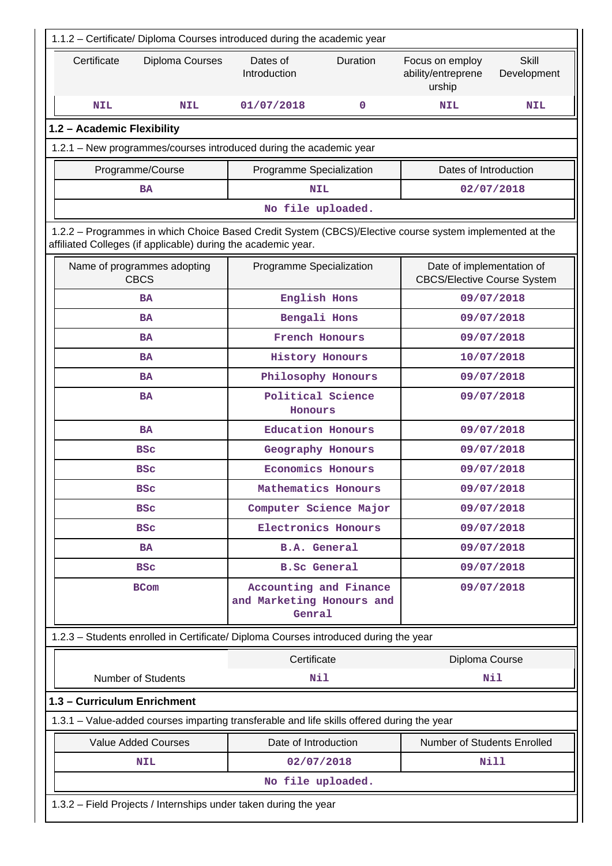| 1.1.2 – Certificate/ Diploma Courses introduced during the academic year                                                                                                 |            |                                                                                                                        |                            |                             |             |  |  |  |  |
|--------------------------------------------------------------------------------------------------------------------------------------------------------------------------|------------|------------------------------------------------------------------------------------------------------------------------|----------------------------|-----------------------------|-------------|--|--|--|--|
| Certificate<br>Diploma Courses                                                                                                                                           |            | Dates of<br>Duration<br><b>Skill</b><br>Focus on employ<br>Introduction<br>ability/entreprene<br>Development<br>urship |                            |                             |             |  |  |  |  |
| <b>NIL</b>                                                                                                                                                               | <b>NIL</b> | 01/07/2018                                                                                                             | 0                          | <b>NIL</b>                  | <b>NIL</b>  |  |  |  |  |
| 1.2 - Academic Flexibility                                                                                                                                               |            |                                                                                                                        |                            |                             |             |  |  |  |  |
| 1.2.1 - New programmes/courses introduced during the academic year                                                                                                       |            |                                                                                                                        |                            |                             |             |  |  |  |  |
| Programme/Course                                                                                                                                                         |            | Programme Specialization                                                                                               | Dates of Introduction      |                             |             |  |  |  |  |
| <b>BA</b>                                                                                                                                                                |            |                                                                                                                        | <b>NIL</b>                 |                             | 02/07/2018  |  |  |  |  |
|                                                                                                                                                                          |            |                                                                                                                        | No file uploaded.          |                             |             |  |  |  |  |
| 1.2.2 - Programmes in which Choice Based Credit System (CBCS)/Elective course system implemented at the<br>affiliated Colleges (if applicable) during the academic year. |            |                                                                                                                        |                            |                             |             |  |  |  |  |
| Date of implementation of<br>Name of programmes adopting<br>Programme Specialization<br><b>CBCS</b><br><b>CBCS/Elective Course System</b>                                |            |                                                                                                                        |                            |                             |             |  |  |  |  |
| <b>BA</b>                                                                                                                                                                |            |                                                                                                                        | English Hons               |                             | 09/07/2018  |  |  |  |  |
| <b>BA</b>                                                                                                                                                                |            |                                                                                                                        | Bengali Hons               |                             | 09/07/2018  |  |  |  |  |
| <b>BA</b>                                                                                                                                                                |            |                                                                                                                        | <b>French Honours</b>      |                             | 09/07/2018  |  |  |  |  |
| <b>BA</b>                                                                                                                                                                |            |                                                                                                                        | <b>History Honours</b>     | 10/07/2018                  |             |  |  |  |  |
| <b>BA</b>                                                                                                                                                                |            |                                                                                                                        | Philosophy Honours         | 09/07/2018                  |             |  |  |  |  |
| <b>BA</b>                                                                                                                                                                |            | Political Science<br>Honours                                                                                           |                            | 09/07/2018                  |             |  |  |  |  |
| <b>BA</b>                                                                                                                                                                |            |                                                                                                                        | <b>Education Honours</b>   |                             | 09/07/2018  |  |  |  |  |
| <b>BSC</b>                                                                                                                                                               |            | Geography Honours                                                                                                      |                            | 09/07/2018                  |             |  |  |  |  |
| <b>BSC</b>                                                                                                                                                               |            | <b>Economics Honours</b>                                                                                               |                            |                             | 09/07/2018  |  |  |  |  |
| <b>BSC</b>                                                                                                                                                               |            | Mathematics Honours                                                                                                    |                            |                             | 09/07/2018  |  |  |  |  |
| <b>BSC</b>                                                                                                                                                               |            |                                                                                                                        | Computer Science Major     | 09/07/2018                  |             |  |  |  |  |
| <b>BSC</b>                                                                                                                                                               |            |                                                                                                                        | <b>Electronics Honours</b> |                             | 09/07/2018  |  |  |  |  |
| <b>BA</b>                                                                                                                                                                |            |                                                                                                                        | <b>B.A.</b> General        |                             | 09/07/2018  |  |  |  |  |
| <b>BSC</b>                                                                                                                                                               |            |                                                                                                                        | <b>B.Sc General</b>        |                             | 09/07/2018  |  |  |  |  |
| <b>BCom</b>                                                                                                                                                              |            | Accounting and Finance<br>and Marketing Honours and<br>Genral                                                          |                            | 09/07/2018                  |             |  |  |  |  |
| 1.2.3 - Students enrolled in Certificate/ Diploma Courses introduced during the year                                                                                     |            |                                                                                                                        |                            |                             |             |  |  |  |  |
|                                                                                                                                                                          |            | Certificate                                                                                                            |                            | Diploma Course              |             |  |  |  |  |
| <b>Number of Students</b>                                                                                                                                                |            |                                                                                                                        | Nil                        |                             | Nil         |  |  |  |  |
| 1.3 - Curriculum Enrichment                                                                                                                                              |            |                                                                                                                        |                            |                             |             |  |  |  |  |
| 1.3.1 – Value-added courses imparting transferable and life skills offered during the year                                                                               |            |                                                                                                                        |                            |                             |             |  |  |  |  |
| <b>Value Added Courses</b>                                                                                                                                               |            | Date of Introduction                                                                                                   |                            | Number of Students Enrolled |             |  |  |  |  |
| <b>NIL</b>                                                                                                                                                               |            |                                                                                                                        | 02/07/2018                 |                             | <b>Nill</b> |  |  |  |  |
|                                                                                                                                                                          |            |                                                                                                                        | No file uploaded.          |                             |             |  |  |  |  |
| 1.3.2 - Field Projects / Internships under taken during the year                                                                                                         |            |                                                                                                                        |                            |                             |             |  |  |  |  |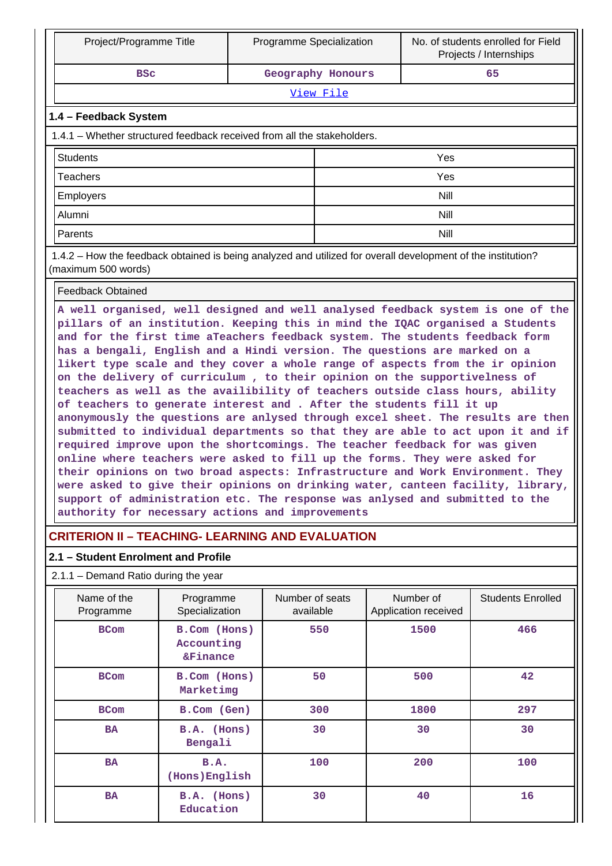|                 | Project/Programme Title                                                 | Programme Specialization |                   | No. of students enrolled for Field<br>Projects / Internships |  |  |  |
|-----------------|-------------------------------------------------------------------------|--------------------------|-------------------|--------------------------------------------------------------|--|--|--|
|                 | <b>BSC</b>                                                              |                          | Geography Honours | 65                                                           |  |  |  |
|                 |                                                                         |                          | View File         |                                                              |  |  |  |
|                 | 1.4 - Feedback System                                                   |                          |                   |                                                              |  |  |  |
|                 | 1.4.1 – Whether structured feedback received from all the stakeholders. |                          |                   |                                                              |  |  |  |
| <b>Students</b> |                                                                         |                          |                   | Yes                                                          |  |  |  |
| Teachers        |                                                                         |                          | Yes               |                                                              |  |  |  |
| Employers       |                                                                         |                          | Nill              |                                                              |  |  |  |
| Alumni          |                                                                         |                          | Nill              |                                                              |  |  |  |
| Parents         |                                                                         |                          | Nill              |                                                              |  |  |  |

 1.4.2 – How the feedback obtained is being analyzed and utilized for overall development of the institution? (maximum 500 words)

### Feedback Obtained

**A well organised, well designed and well analysed feedback system is one of the pillars of an institution. Keeping this in mind the IQAC organised a Students and for the first time aTeachers feedback system. The students feedback form has a bengali, English and a Hindi version. The questions are marked on a likert type scale and they cover a whole range of aspects from the ir opinion on the delivery of curriculum , to their opinion on the supportivelness of teachers as well as the availibility of teachers outside class hours, ability of teachers to generate interest and . After the students fill it up anonymously the questions are anlysed through excel sheet. The results are then submitted to individual departments so that they are able to act upon it and if required improve upon the shortcomings. The teacher feedback for was given online where teachers were asked to fill up the forms. They were asked for their opinions on two broad aspects: Infrastructure and Work Environment. They were asked to give their opinions on drinking water, canteen facility, library, support of administration etc. The response was anlysed and submitted to the authority for necessary actions and improvements**

### **CRITERION II – TEACHING- LEARNING AND EVALUATION**

### **2.1 – Student Enrolment and Profile**

### 2.1.1 – Demand Ratio during the year

| Name of the<br>Programme | Programme<br>Specialization                       | Number of seats<br>available | Number of<br>Application received | <b>Students Enrolled</b> |
|--------------------------|---------------------------------------------------|------------------------------|-----------------------------------|--------------------------|
| <b>BCom</b>              | B.Com (Hons)<br>Accounting<br><b>&amp;Finance</b> | 550                          | 1500                              | 466                      |
| <b>BCom</b>              | B.Com (Hons)<br>Marketimg                         | 50                           | 500                               | 42                       |
| <b>BCom</b>              | B.Com (Gen)                                       | 300                          | 1800                              | 297                      |
| <b>BA</b>                | B.A. (Hons)<br>Bengali                            | 30                           | 30                                | 30                       |
| <b>BA</b>                | B.A.<br>(Hons) English                            | 100                          | 200                               | 100                      |
| <b>BA</b>                | B.A. (Hons)<br>Education                          | 30                           | 40                                | 16                       |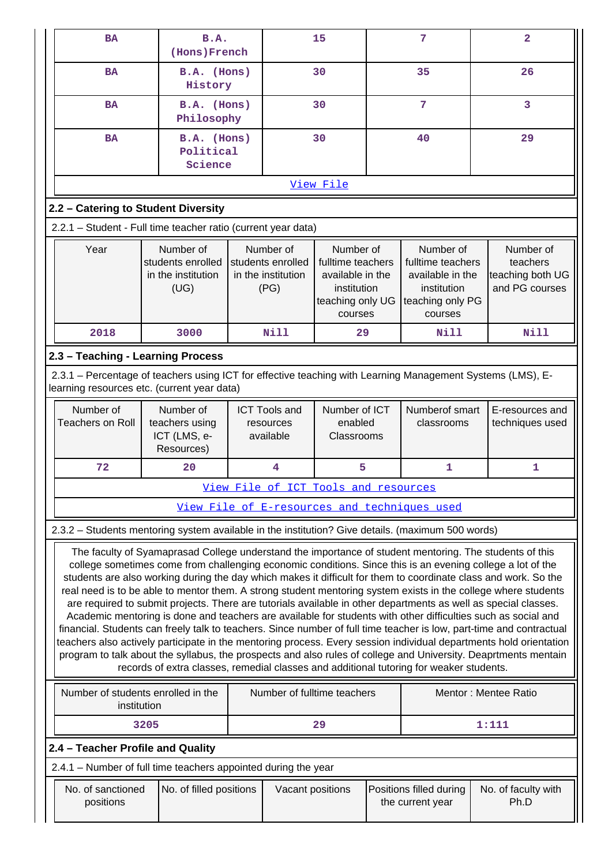| <b>BA</b>                                                                                                                                                                                                                                                                                                                                                                                                                                                                                                                                                                                                                                                                                                                                                                                                                                                                                                                                                                                                                                                                                                                                                  | B.A.<br>(Hons) French                                        |  |                                                              | 15                                                                                               |  | 7                                                                                                | $\overline{\mathbf{2}}$                                     |
|------------------------------------------------------------------------------------------------------------------------------------------------------------------------------------------------------------------------------------------------------------------------------------------------------------------------------------------------------------------------------------------------------------------------------------------------------------------------------------------------------------------------------------------------------------------------------------------------------------------------------------------------------------------------------------------------------------------------------------------------------------------------------------------------------------------------------------------------------------------------------------------------------------------------------------------------------------------------------------------------------------------------------------------------------------------------------------------------------------------------------------------------------------|--------------------------------------------------------------|--|--------------------------------------------------------------|--------------------------------------------------------------------------------------------------|--|--------------------------------------------------------------------------------------------------|-------------------------------------------------------------|
| <b>BA</b>                                                                                                                                                                                                                                                                                                                                                                                                                                                                                                                                                                                                                                                                                                                                                                                                                                                                                                                                                                                                                                                                                                                                                  | B.A. (Hons)<br>History                                       |  |                                                              | 30                                                                                               |  | 35                                                                                               | 26                                                          |
| <b>BA</b>                                                                                                                                                                                                                                                                                                                                                                                                                                                                                                                                                                                                                                                                                                                                                                                                                                                                                                                                                                                                                                                                                                                                                  | B.A. (Hons)<br>Philosophy                                    |  |                                                              | 30                                                                                               |  | 7                                                                                                | 3                                                           |
| <b>BA</b>                                                                                                                                                                                                                                                                                                                                                                                                                                                                                                                                                                                                                                                                                                                                                                                                                                                                                                                                                                                                                                                                                                                                                  | B.A. (Hons)<br>Political<br>Science                          |  |                                                              | 30                                                                                               |  | 40                                                                                               | 29                                                          |
| View File                                                                                                                                                                                                                                                                                                                                                                                                                                                                                                                                                                                                                                                                                                                                                                                                                                                                                                                                                                                                                                                                                                                                                  |                                                              |  |                                                              |                                                                                                  |  |                                                                                                  |                                                             |
| 2.2 - Catering to Student Diversity                                                                                                                                                                                                                                                                                                                                                                                                                                                                                                                                                                                                                                                                                                                                                                                                                                                                                                                                                                                                                                                                                                                        |                                                              |  |                                                              |                                                                                                  |  |                                                                                                  |                                                             |
| 2.2.1 - Student - Full time teacher ratio (current year data)                                                                                                                                                                                                                                                                                                                                                                                                                                                                                                                                                                                                                                                                                                                                                                                                                                                                                                                                                                                                                                                                                              |                                                              |  |                                                              |                                                                                                  |  |                                                                                                  |                                                             |
| Year                                                                                                                                                                                                                                                                                                                                                                                                                                                                                                                                                                                                                                                                                                                                                                                                                                                                                                                                                                                                                                                                                                                                                       | Number of<br>students enrolled<br>in the institution<br>(UG) |  | Number of<br>students enrolled<br>in the institution<br>(PG) | Number of<br>fulltime teachers<br>available in the<br>institution<br>teaching only UG<br>courses |  | Number of<br>fulltime teachers<br>available in the<br>institution<br>teaching only PG<br>courses | Number of<br>teachers<br>teaching both UG<br>and PG courses |
| 2018                                                                                                                                                                                                                                                                                                                                                                                                                                                                                                                                                                                                                                                                                                                                                                                                                                                                                                                                                                                                                                                                                                                                                       | 3000                                                         |  | <b>Nill</b>                                                  | 29                                                                                               |  | Nill                                                                                             | <b>Nill</b>                                                 |
| 2.3 - Teaching - Learning Process                                                                                                                                                                                                                                                                                                                                                                                                                                                                                                                                                                                                                                                                                                                                                                                                                                                                                                                                                                                                                                                                                                                          |                                                              |  |                                                              |                                                                                                  |  |                                                                                                  |                                                             |
| 2.3.1 - Percentage of teachers using ICT for effective teaching with Learning Management Systems (LMS), E-                                                                                                                                                                                                                                                                                                                                                                                                                                                                                                                                                                                                                                                                                                                                                                                                                                                                                                                                                                                                                                                 |                                                              |  |                                                              |                                                                                                  |  |                                                                                                  |                                                             |
| learning resources etc. (current year data)                                                                                                                                                                                                                                                                                                                                                                                                                                                                                                                                                                                                                                                                                                                                                                                                                                                                                                                                                                                                                                                                                                                |                                                              |  |                                                              |                                                                                                  |  |                                                                                                  |                                                             |
| Number of<br><b>Teachers on Roll</b>                                                                                                                                                                                                                                                                                                                                                                                                                                                                                                                                                                                                                                                                                                                                                                                                                                                                                                                                                                                                                                                                                                                       | Number of<br>teachers using<br>ICT (LMS, e-<br>Resources)    |  | resources<br>available                                       | Number of ICT<br><b>ICT Tools and</b><br>enabled<br>Classrooms                                   |  | Numberof smart<br>classrooms                                                                     | E-resources and<br>techniques used                          |
| 72                                                                                                                                                                                                                                                                                                                                                                                                                                                                                                                                                                                                                                                                                                                                                                                                                                                                                                                                                                                                                                                                                                                                                         | 20                                                           |  | 4                                                            | 5                                                                                                |  | 1                                                                                                | 1                                                           |
|                                                                                                                                                                                                                                                                                                                                                                                                                                                                                                                                                                                                                                                                                                                                                                                                                                                                                                                                                                                                                                                                                                                                                            |                                                              |  | View File of ICT Tools and resources                         |                                                                                                  |  |                                                                                                  |                                                             |
|                                                                                                                                                                                                                                                                                                                                                                                                                                                                                                                                                                                                                                                                                                                                                                                                                                                                                                                                                                                                                                                                                                                                                            |                                                              |  |                                                              |                                                                                                  |  | View File of E-resources and techniques used                                                     |                                                             |
| 2.3.2 - Students mentoring system available in the institution? Give details. (maximum 500 words)                                                                                                                                                                                                                                                                                                                                                                                                                                                                                                                                                                                                                                                                                                                                                                                                                                                                                                                                                                                                                                                          |                                                              |  |                                                              |                                                                                                  |  |                                                                                                  |                                                             |
| The faculty of Syamaprasad College understand the importance of student mentoring. The students of this<br>college sometimes come from challenging economic conditions. Since this is an evening college a lot of the<br>students are also working during the day which makes it difficult for them to coordinate class and work. So the<br>real need is to be able to mentor them. A strong student mentoring system exists in the college where students<br>are required to submit projects. There are tutorials available in other departments as well as special classes.<br>Academic mentoring is done and teachers are available for students with other difficulties such as social and<br>financial. Students can freely talk to teachers. Since number of full time teacher is low, part-time and contractual<br>teachers also actively participate in the mentoring process. Every session individual departments hold orientation<br>program to talk about the syllabus, the prospects and also rules of college and University. Deaprtments mentain<br>records of extra classes, remedial classes and additional tutoring for weaker students. |                                                              |  |                                                              |                                                                                                  |  |                                                                                                  |                                                             |
| Number of students enrolled in the<br>institution                                                                                                                                                                                                                                                                                                                                                                                                                                                                                                                                                                                                                                                                                                                                                                                                                                                                                                                                                                                                                                                                                                          |                                                              |  | Number of fulltime teachers                                  |                                                                                                  |  |                                                                                                  | Mentor: Mentee Ratio                                        |
|                                                                                                                                                                                                                                                                                                                                                                                                                                                                                                                                                                                                                                                                                                                                                                                                                                                                                                                                                                                                                                                                                                                                                            | 3205                                                         |  |                                                              | 29                                                                                               |  |                                                                                                  | 1:111                                                       |
| 2.4 - Teacher Profile and Quality                                                                                                                                                                                                                                                                                                                                                                                                                                                                                                                                                                                                                                                                                                                                                                                                                                                                                                                                                                                                                                                                                                                          |                                                              |  |                                                              |                                                                                                  |  |                                                                                                  |                                                             |
| 2.4.1 - Number of full time teachers appointed during the year                                                                                                                                                                                                                                                                                                                                                                                                                                                                                                                                                                                                                                                                                                                                                                                                                                                                                                                                                                                                                                                                                             |                                                              |  |                                                              |                                                                                                  |  |                                                                                                  |                                                             |
| No. of sanctioned<br>positions                                                                                                                                                                                                                                                                                                                                                                                                                                                                                                                                                                                                                                                                                                                                                                                                                                                                                                                                                                                                                                                                                                                             | No. of filled positions                                      |  | Vacant positions                                             |                                                                                                  |  | Positions filled during<br>the current year                                                      | No. of faculty with<br>Ph.D                                 |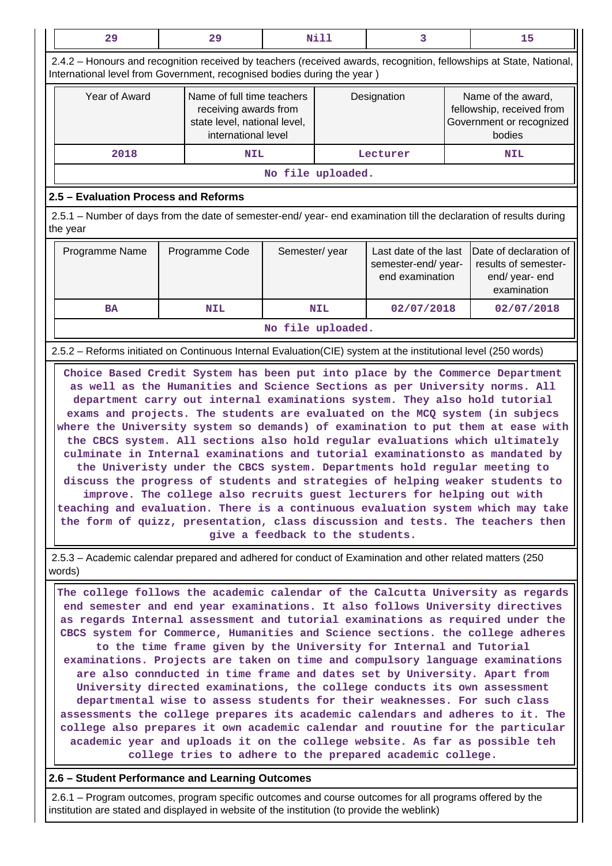| 29                                                                                                                                                                                                                                                                                                                                                                                                                                                                                                                                                                                                                                                                                                                                                                                                                                                                                                                                                                                                                                                  | 29                                                                                                                                                                                                                                                                                                                                                                                                                                                                                                                                                                                                                                                                                                                                    |                                  | Nill              | 3                                                              |                                                                                       | 15                                                                                                                                                                 |
|-----------------------------------------------------------------------------------------------------------------------------------------------------------------------------------------------------------------------------------------------------------------------------------------------------------------------------------------------------------------------------------------------------------------------------------------------------------------------------------------------------------------------------------------------------------------------------------------------------------------------------------------------------------------------------------------------------------------------------------------------------------------------------------------------------------------------------------------------------------------------------------------------------------------------------------------------------------------------------------------------------------------------------------------------------|---------------------------------------------------------------------------------------------------------------------------------------------------------------------------------------------------------------------------------------------------------------------------------------------------------------------------------------------------------------------------------------------------------------------------------------------------------------------------------------------------------------------------------------------------------------------------------------------------------------------------------------------------------------------------------------------------------------------------------------|----------------------------------|-------------------|----------------------------------------------------------------|---------------------------------------------------------------------------------------|--------------------------------------------------------------------------------------------------------------------------------------------------------------------|
| 2.4.2 - Honours and recognition received by teachers (received awards, recognition, fellowships at State, National,<br>International level from Government, recognised bodies during the year)                                                                                                                                                                                                                                                                                                                                                                                                                                                                                                                                                                                                                                                                                                                                                                                                                                                      |                                                                                                                                                                                                                                                                                                                                                                                                                                                                                                                                                                                                                                                                                                                                       |                                  |                   |                                                                |                                                                                       |                                                                                                                                                                    |
| Year of Award                                                                                                                                                                                                                                                                                                                                                                                                                                                                                                                                                                                                                                                                                                                                                                                                                                                                                                                                                                                                                                       | Name of full time teachers<br>receiving awards from<br>state level, national level,<br>international level                                                                                                                                                                                                                                                                                                                                                                                                                                                                                                                                                                                                                            |                                  |                   | Designation                                                    | Name of the award,<br>fellowship, received from<br>Government or recognized<br>bodies |                                                                                                                                                                    |
| 2018                                                                                                                                                                                                                                                                                                                                                                                                                                                                                                                                                                                                                                                                                                                                                                                                                                                                                                                                                                                                                                                | <b>NIL</b>                                                                                                                                                                                                                                                                                                                                                                                                                                                                                                                                                                                                                                                                                                                            |                                  |                   | Lecturer                                                       |                                                                                       | <b>NIL</b>                                                                                                                                                         |
|                                                                                                                                                                                                                                                                                                                                                                                                                                                                                                                                                                                                                                                                                                                                                                                                                                                                                                                                                                                                                                                     |                                                                                                                                                                                                                                                                                                                                                                                                                                                                                                                                                                                                                                                                                                                                       |                                  | No file uploaded. |                                                                |                                                                                       |                                                                                                                                                                    |
| 2.5 - Evaluation Process and Reforms                                                                                                                                                                                                                                                                                                                                                                                                                                                                                                                                                                                                                                                                                                                                                                                                                                                                                                                                                                                                                |                                                                                                                                                                                                                                                                                                                                                                                                                                                                                                                                                                                                                                                                                                                                       |                                  |                   |                                                                |                                                                                       |                                                                                                                                                                    |
| the year                                                                                                                                                                                                                                                                                                                                                                                                                                                                                                                                                                                                                                                                                                                                                                                                                                                                                                                                                                                                                                            | 2.5.1 – Number of days from the date of semester-end/ year- end examination till the declaration of results during                                                                                                                                                                                                                                                                                                                                                                                                                                                                                                                                                                                                                    |                                  |                   |                                                                |                                                                                       |                                                                                                                                                                    |
| Programme Name                                                                                                                                                                                                                                                                                                                                                                                                                                                                                                                                                                                                                                                                                                                                                                                                                                                                                                                                                                                                                                      | Programme Code                                                                                                                                                                                                                                                                                                                                                                                                                                                                                                                                                                                                                                                                                                                        | Semester/year                    |                   | Last date of the last<br>semester-end/year-<br>end examination |                                                                                       | Date of declaration of<br>results of semester-<br>end/year-end<br>examination                                                                                      |
| <b>BA</b>                                                                                                                                                                                                                                                                                                                                                                                                                                                                                                                                                                                                                                                                                                                                                                                                                                                                                                                                                                                                                                           | <b>NIL</b>                                                                                                                                                                                                                                                                                                                                                                                                                                                                                                                                                                                                                                                                                                                            |                                  | <b>NIL</b>        | 02/07/2018                                                     |                                                                                       | 02/07/2018                                                                                                                                                         |
|                                                                                                                                                                                                                                                                                                                                                                                                                                                                                                                                                                                                                                                                                                                                                                                                                                                                                                                                                                                                                                                     |                                                                                                                                                                                                                                                                                                                                                                                                                                                                                                                                                                                                                                                                                                                                       |                                  | No file uploaded. |                                                                |                                                                                       |                                                                                                                                                                    |
|                                                                                                                                                                                                                                                                                                                                                                                                                                                                                                                                                                                                                                                                                                                                                                                                                                                                                                                                                                                                                                                     | 2.5.2 – Reforms initiated on Continuous Internal Evaluation (CIE) system at the institutional level (250 words)                                                                                                                                                                                                                                                                                                                                                                                                                                                                                                                                                                                                                       |                                  |                   |                                                                |                                                                                       |                                                                                                                                                                    |
|                                                                                                                                                                                                                                                                                                                                                                                                                                                                                                                                                                                                                                                                                                                                                                                                                                                                                                                                                                                                                                                     | as well as the Humanities and Science Sections as per University norms. All<br>department carry out internal examinations system. They also hold tutorial<br>exams and projects. The students are evaluated on the MCQ system (in subjecs<br>the CBCS system. All sections also hold regular evaluations which ultimately<br>culminate in Internal examinations and tutorial examinationsto as mandated by<br>the Univeristy under the CBCS system. Departments hold regular meeting to<br>discuss the progress of students and strategies of helping weaker students to<br>improve. The college also recruits guest lecturers for helping out with<br>the form of quizz, presentation, class discussion and tests. The teachers then | give a feedback to the students. |                   |                                                                |                                                                                       | where the University system so demands) of examination to put them at ease with<br>teaching and evaluation. There is a continuous evaluation system which may take |
| words)                                                                                                                                                                                                                                                                                                                                                                                                                                                                                                                                                                                                                                                                                                                                                                                                                                                                                                                                                                                                                                              | 2.5.3 – Academic calendar prepared and adhered for conduct of Examination and other related matters (250)                                                                                                                                                                                                                                                                                                                                                                                                                                                                                                                                                                                                                             |                                  |                   |                                                                |                                                                                       |                                                                                                                                                                    |
| The college follows the academic calendar of the Calcutta University as regards<br>end semester and end year examinations. It also follows University directives<br>as regards Internal assessment and tutorial examinations as required under the<br>CBCS system for Commerce, Humanities and Science sections. the college adheres<br>to the time frame given by the University for Internal and Tutorial<br>examinations. Projects are taken on time and compulsory language examinations<br>are also connducted in time frame and dates set by University. Apart from<br>University directed examinations, the college conducts its own assessment<br>departmental wise to assess students for their weaknesses. For such class<br>assessments the college prepares its academic calendars and adheres to it. The<br>college also prepares it own academic calendar and rouutine for the particular<br>academic year and uploads it on the college website. As far as possible teh<br>college tries to adhere to the prepared academic college. |                                                                                                                                                                                                                                                                                                                                                                                                                                                                                                                                                                                                                                                                                                                                       |                                  |                   |                                                                |                                                                                       |                                                                                                                                                                    |
|                                                                                                                                                                                                                                                                                                                                                                                                                                                                                                                                                                                                                                                                                                                                                                                                                                                                                                                                                                                                                                                     | 2.6 - Student Performance and Learning Outcomes                                                                                                                                                                                                                                                                                                                                                                                                                                                                                                                                                                                                                                                                                       |                                  |                   |                                                                |                                                                                       |                                                                                                                                                                    |
| 2.6.1 – Program outcomes, program specific outcomes and course outcomes for all programs offered by the                                                                                                                                                                                                                                                                                                                                                                                                                                                                                                                                                                                                                                                                                                                                                                                                                                                                                                                                             |                                                                                                                                                                                                                                                                                                                                                                                                                                                                                                                                                                                                                                                                                                                                       |                                  |                   |                                                                |                                                                                       |                                                                                                                                                                    |

institution are stated and displayed in website of the institution (to provide the weblink)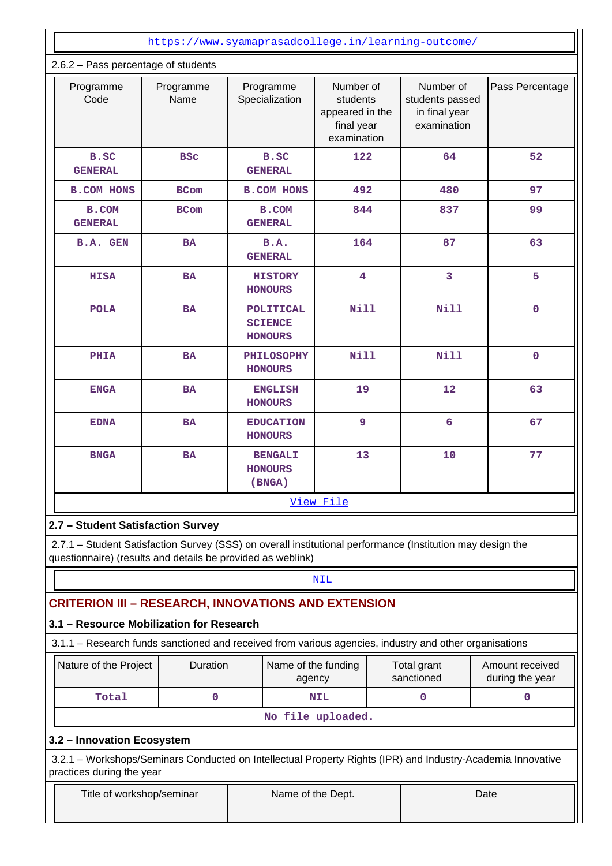<https://www.syamaprasadcollege.in/learning-outcome/>

| 2.6.2 - Pass percentage of students |                   |                                                             |                                                                       |                                                              |                 |  |  |  |  |  |  |
|-------------------------------------|-------------------|-------------------------------------------------------------|-----------------------------------------------------------------------|--------------------------------------------------------------|-----------------|--|--|--|--|--|--|
| Programme<br>Code                   | Programme<br>Name | Programme<br>Specialization                                 | Number of<br>students<br>appeared in the<br>final year<br>examination | Number of<br>students passed<br>in final year<br>examination | Pass Percentage |  |  |  |  |  |  |
| B.SC<br><b>GENERAL</b>              | <b>BSC</b>        | <b>B.SC</b><br><b>GENERAL</b>                               | 122                                                                   | 64                                                           | 52              |  |  |  |  |  |  |
| <b>B.COM HONS</b>                   | <b>BCom</b>       | <b>B.COM HONS</b>                                           | 492                                                                   | 480                                                          | 97              |  |  |  |  |  |  |
| <b>B.COM</b><br><b>GENERAL</b>      | <b>BCom</b>       | <b>B.COM</b><br><b>GENERAL</b>                              | 844                                                                   | 837                                                          | 99              |  |  |  |  |  |  |
| B.A. GEN                            | <b>BA</b>         | B.A.<br><b>GENERAL</b>                                      | 164                                                                   | 87                                                           | 63              |  |  |  |  |  |  |
| <b>HISA</b>                         | <b>BA</b>         | $\overline{\mathbf{4}}$<br><b>HISTORY</b><br><b>HONOURS</b> |                                                                       | 3                                                            | 5               |  |  |  |  |  |  |
| <b>POLA</b>                         | <b>BA</b>         | <b>POLITICAL</b><br><b>SCIENCE</b><br><b>HONOURS</b>        | Nill                                                                  | Nill                                                         | $\overline{0}$  |  |  |  |  |  |  |
| <b>PHIA</b>                         | <b>BA</b>         | <b>PHILOSOPHY</b><br><b>HONOURS</b>                         | <b>Nill</b>                                                           | Nill                                                         | $\mathbf 0$     |  |  |  |  |  |  |
| <b>ENGA</b>                         | <b>BA</b>         | <b>ENGLISH</b><br><b>HONOURS</b>                            | 19                                                                    | 12                                                           | 63              |  |  |  |  |  |  |
| <b>EDNA</b>                         | <b>BA</b>         | <b>EDUCATION</b><br><b>HONOURS</b>                          | 9                                                                     | 6                                                            | 67              |  |  |  |  |  |  |
| <b>BNGA</b>                         | <b>BA</b>         | 13<br><b>BENGALI</b><br><b>HONOURS</b><br>(BNGA)            |                                                                       | 10                                                           | 77              |  |  |  |  |  |  |
|                                     | View File         |                                                             |                                                                       |                                                              |                 |  |  |  |  |  |  |
| 2.7 - Student Satisfaction Survey   |                   |                                                             |                                                                       |                                                              |                 |  |  |  |  |  |  |

 2.7.1 – Student Satisfaction Survey (SSS) on overall institutional performance (Institution may design the questionnaire) (results and details be provided as weblink)

# **NIL**

# **CRITERION III – RESEARCH, INNOVATIONS AND EXTENSION**

### **3.1 – Resource Mobilization for Research**

3.1.1 – Research funds sanctioned and received from various agencies, industry and other organisations

| Nature of the Project | Duration | Name of the funding<br>agency | Total grant<br>sanctioned | Amount received<br>during the year |  |  |  |  |  |
|-----------------------|----------|-------------------------------|---------------------------|------------------------------------|--|--|--|--|--|
| Total                 |          | NIL                           |                           |                                    |  |  |  |  |  |
| No file unloaded      |          |                               |                           |                                    |  |  |  |  |  |

# **No file uploaded.**

### **3.2 – Innovation Ecosystem**

 3.2.1 – Workshops/Seminars Conducted on Intellectual Property Rights (IPR) and Industry-Academia Innovative practices during the year

| Title of workshop/seminar | Name of the Dept. | Date |  |  |  |  |
|---------------------------|-------------------|------|--|--|--|--|
|                           |                   |      |  |  |  |  |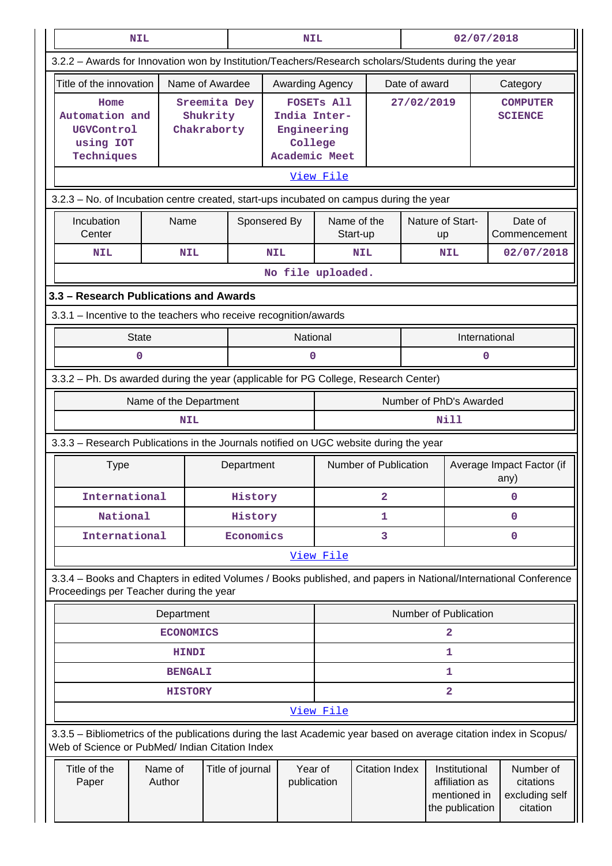|                                                                                                                    | NIL          |                  |                                                                                                                         |                        | <b>NIL</b>        |                       |                         | 02/07/2018                                                         |                         |                                                      |                                                                                                                 |
|--------------------------------------------------------------------------------------------------------------------|--------------|------------------|-------------------------------------------------------------------------------------------------------------------------|------------------------|-------------------|-----------------------|-------------------------|--------------------------------------------------------------------|-------------------------|------------------------------------------------------|-----------------------------------------------------------------------------------------------------------------|
| 3.2.2 - Awards for Innovation won by Institution/Teachers/Research scholars/Students during the year               |              |                  |                                                                                                                         |                        |                   |                       |                         |                                                                    |                         |                                                      |                                                                                                                 |
| Title of the innovation                                                                                            |              | Name of Awardee  |                                                                                                                         |                        | Awarding Agency   |                       |                         | Date of award                                                      |                         |                                                      | Category                                                                                                        |
| Home<br>Automation and<br>UGVControl<br>using IOT<br>Techniques                                                    |              |                  | Sreemita Dey<br><b>FOSETS All</b><br>Shukrity<br>India Inter-<br>Chakraborty<br>Engineering<br>College<br>Academic Meet |                        |                   | 27/02/2019            |                         | <b>COMPUTER</b><br><b>SCIENCE</b>                                  |                         |                                                      |                                                                                                                 |
|                                                                                                                    |              |                  |                                                                                                                         |                        |                   | View File             |                         |                                                                    |                         |                                                      |                                                                                                                 |
| 3.2.3 - No. of Incubation centre created, start-ups incubated on campus during the year                            |              |                  |                                                                                                                         |                        |                   |                       |                         |                                                                    |                         |                                                      |                                                                                                                 |
| Incubation<br>Center                                                                                               |              | Name             |                                                                                                                         | Sponsered By           |                   |                       | Name of the<br>Start-up |                                                                    | Nature of Start-<br>up  |                                                      | Date of<br>Commencement                                                                                         |
| <b>NIL</b>                                                                                                         |              | <b>NIL</b>       |                                                                                                                         |                        | <b>NIL</b>        |                       | <b>NIL</b>              |                                                                    | NIL                     |                                                      | 02/07/2018                                                                                                      |
|                                                                                                                    |              |                  |                                                                                                                         |                        | No file uploaded. |                       |                         |                                                                    |                         |                                                      |                                                                                                                 |
| 3.3 - Research Publications and Awards                                                                             |              |                  |                                                                                                                         |                        |                   |                       |                         |                                                                    |                         |                                                      |                                                                                                                 |
| 3.3.1 - Incentive to the teachers who receive recognition/awards                                                   |              |                  |                                                                                                                         |                        |                   |                       |                         |                                                                    |                         |                                                      |                                                                                                                 |
|                                                                                                                    | <b>State</b> |                  |                                                                                                                         |                        | National          |                       |                         |                                                                    |                         | International                                        |                                                                                                                 |
|                                                                                                                    | 0            |                  |                                                                                                                         |                        | 0                 |                       |                         |                                                                    |                         | 0                                                    |                                                                                                                 |
| 3.3.2 - Ph. Ds awarded during the year (applicable for PG College, Research Center)                                |              |                  |                                                                                                                         |                        |                   |                       |                         |                                                                    |                         |                                                      |                                                                                                                 |
| Name of the Department                                                                                             |              |                  |                                                                                                                         |                        |                   |                       |                         |                                                                    | Number of PhD's Awarded |                                                      |                                                                                                                 |
|                                                                                                                    |              | <b>NIL</b>       |                                                                                                                         |                        |                   |                       |                         |                                                                    | Nill                    |                                                      |                                                                                                                 |
| 3.3.3 - Research Publications in the Journals notified on UGC website during the year                              |              |                  |                                                                                                                         |                        |                   |                       |                         |                                                                    |                         |                                                      |                                                                                                                 |
| <b>Type</b>                                                                                                        |              |                  |                                                                                                                         | Department             |                   |                       | Number of Publication   |                                                                    |                         |                                                      | Average Impact Factor (if<br>any)                                                                               |
| International                                                                                                      |              |                  |                                                                                                                         | History                |                   |                       | $\overline{a}$          |                                                                    | 0                       |                                                      |                                                                                                                 |
| National                                                                                                           |              |                  |                                                                                                                         | History                |                   |                       | 1                       |                                                                    | 0                       |                                                      |                                                                                                                 |
| International                                                                                                      |              |                  |                                                                                                                         | Economics              |                   |                       | 3                       |                                                                    | $\mathbf 0$             |                                                      |                                                                                                                 |
|                                                                                                                    |              |                  |                                                                                                                         |                        |                   | View File             |                         |                                                                    |                         |                                                      |                                                                                                                 |
| Proceedings per Teacher during the year                                                                            |              |                  |                                                                                                                         |                        |                   |                       |                         |                                                                    |                         |                                                      | 3.3.4 - Books and Chapters in edited Volumes / Books published, and papers in National/International Conference |
|                                                                                                                    |              | Department       |                                                                                                                         |                        |                   |                       |                         |                                                                    | Number of Publication   |                                                      |                                                                                                                 |
|                                                                                                                    |              | <b>ECONOMICS</b> |                                                                                                                         |                        |                   |                       |                         |                                                                    | 2                       |                                                      |                                                                                                                 |
|                                                                                                                    |              | <b>HINDI</b>     |                                                                                                                         |                        |                   |                       |                         |                                                                    | $\mathbf 1$             |                                                      |                                                                                                                 |
|                                                                                                                    |              | <b>BENGALI</b>   |                                                                                                                         |                        |                   |                       |                         |                                                                    | $\mathbf{1}$            |                                                      |                                                                                                                 |
|                                                                                                                    |              | <b>HISTORY</b>   |                                                                                                                         |                        |                   | View File             |                         |                                                                    | 2                       |                                                      |                                                                                                                 |
| 3.3.5 - Bibliometrics of the publications during the last Academic year based on average citation index in Scopus/ |              |                  |                                                                                                                         |                        |                   |                       |                         |                                                                    |                         |                                                      |                                                                                                                 |
| Web of Science or PubMed/ Indian Citation Index<br>Title of the<br>Name of<br>Author<br>Paper                      |              |                  | Title of journal                                                                                                        | Year of<br>publication |                   | <b>Citation Index</b> |                         | Institutional<br>affiliation as<br>mentioned in<br>the publication |                         | Number of<br>citations<br>excluding self<br>citation |                                                                                                                 |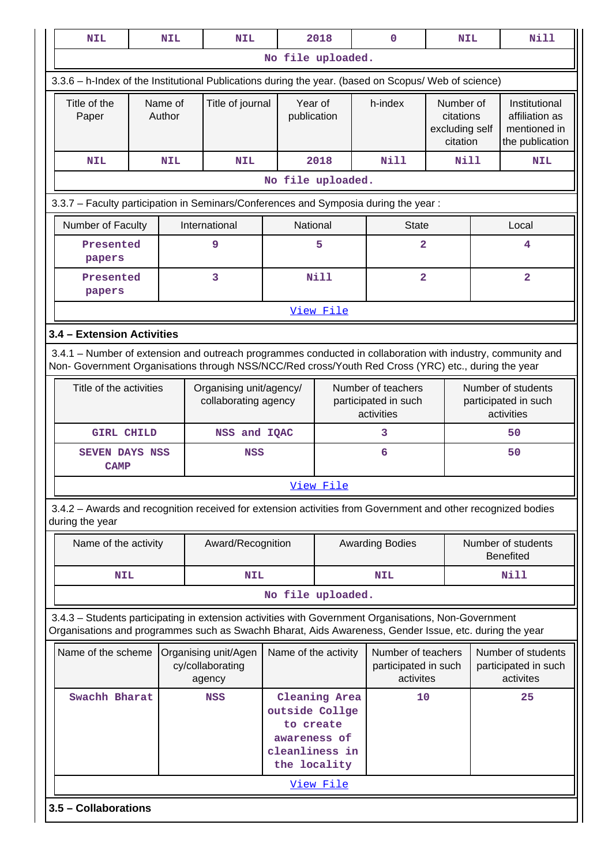| <b>NIL</b>                                                                                                                                                                                                         |  | <b>NIL</b>                                                                                            | <b>NIL</b>                                         |                        | 2018                                                     |                        | $\mathbf{O}$                                             | <b>NIL</b>                                           |                                        | Nill                                                               |
|--------------------------------------------------------------------------------------------------------------------------------------------------------------------------------------------------------------------|--|-------------------------------------------------------------------------------------------------------|----------------------------------------------------|------------------------|----------------------------------------------------------|------------------------|----------------------------------------------------------|------------------------------------------------------|----------------------------------------|--------------------------------------------------------------------|
|                                                                                                                                                                                                                    |  |                                                                                                       |                                                    | No file uploaded.      |                                                          |                        |                                                          |                                                      |                                        |                                                                    |
| 3.3.6 - h-Index of the Institutional Publications during the year. (based on Scopus/ Web of science)                                                                                                               |  |                                                                                                       |                                                    |                        |                                                          |                        |                                                          |                                                      |                                        |                                                                    |
| Title of the<br>Paper                                                                                                                                                                                              |  | Name of<br>Author                                                                                     | Title of journal                                   |                        | Year of<br>publication                                   | h-index                |                                                          | Number of<br>citations<br>excluding self<br>citation |                                        | Institutional<br>affiliation as<br>mentioned in<br>the publication |
| <b>NIL</b>                                                                                                                                                                                                         |  | <b>NIL</b>                                                                                            | <b>NIL</b>                                         |                        | 2018                                                     |                        | <b>Nill</b>                                              | Nill                                                 |                                        | <b>NIL</b>                                                         |
|                                                                                                                                                                                                                    |  |                                                                                                       |                                                    | No file uploaded.      |                                                          |                        |                                                          |                                                      |                                        |                                                                    |
| 3.3.7 - Faculty participation in Seminars/Conferences and Symposia during the year:                                                                                                                                |  |                                                                                                       |                                                    |                        |                                                          |                        |                                                          |                                                      |                                        |                                                                    |
| Number of Faculty                                                                                                                                                                                                  |  |                                                                                                       | International                                      | National               |                                                          | <b>State</b>           |                                                          |                                                      | Local                                  |                                                                    |
| Presented<br>papers                                                                                                                                                                                                |  |                                                                                                       | 9                                                  |                        | 5                                                        |                        | $\overline{a}$                                           |                                                      |                                        | 4                                                                  |
| Presented<br>papers                                                                                                                                                                                                |  |                                                                                                       | 3                                                  | $\overline{2}$<br>Nill |                                                          |                        |                                                          |                                                      | $\overline{\mathbf{2}}$                |                                                                    |
| View File                                                                                                                                                                                                          |  |                                                                                                       |                                                    |                        |                                                          |                        |                                                          |                                                      |                                        |                                                                    |
| 3.4 - Extension Activities                                                                                                                                                                                         |  |                                                                                                       |                                                    |                        |                                                          |                        |                                                          |                                                      |                                        |                                                                    |
| 3.4.1 – Number of extension and outreach programmes conducted in collaboration with industry, community and<br>Non- Government Organisations through NSS/NCC/Red cross/Youth Red Cross (YRC) etc., during the year |  |                                                                                                       |                                                    |                        |                                                          |                        |                                                          |                                                      |                                        |                                                                    |
| Title of the activities                                                                                                                                                                                            |  |                                                                                                       | Organising unit/agency/<br>collaborating agency    |                        | Number of teachers<br>participated in such<br>activities |                        | Number of students<br>participated in such<br>activities |                                                      |                                        |                                                                    |
| <b>GIRL CHILD</b>                                                                                                                                                                                                  |  |                                                                                                       | NSS and IQAC                                       |                        |                                                          |                        | 3                                                        |                                                      |                                        | 50                                                                 |
| SEVEN DAYS NSS<br><b>CAMP</b>                                                                                                                                                                                      |  |                                                                                                       |                                                    | <b>NSS</b>             |                                                          |                        | 6                                                        |                                                      |                                        | 50                                                                 |
|                                                                                                                                                                                                                    |  |                                                                                                       |                                                    |                        | View File                                                |                        |                                                          |                                                      |                                        |                                                                    |
| 3.4.2 - Awards and recognition received for extension activities from Government and other recognized bodies<br>during the year                                                                                    |  |                                                                                                       |                                                    |                        |                                                          |                        |                                                          |                                                      |                                        |                                                                    |
| Name of the activity                                                                                                                                                                                               |  |                                                                                                       | Award/Recognition                                  |                        |                                                          | <b>Awarding Bodies</b> |                                                          |                                                      | Number of students<br><b>Benefited</b> |                                                                    |
| <b>NIL</b>                                                                                                                                                                                                         |  |                                                                                                       | <b>NIL</b>                                         |                        |                                                          |                        | <b>NIL</b>                                               |                                                      |                                        | <b>Nill</b>                                                        |
|                                                                                                                                                                                                                    |  |                                                                                                       |                                                    | No file uploaded.      |                                                          |                        |                                                          |                                                      |                                        |                                                                    |
| 3.4.3 - Students participating in extension activities with Government Organisations, Non-Government<br>Organisations and programmes such as Swachh Bharat, Aids Awareness, Gender Issue, etc. during the year     |  |                                                                                                       |                                                    |                        |                                                          |                        |                                                          |                                                      |                                        |                                                                    |
| Name of the scheme                                                                                                                                                                                                 |  |                                                                                                       | Organising unit/Agen<br>cy/collaborating<br>agency | Name of the activity   |                                                          |                        | Number of teachers<br>participated in such<br>activites  |                                                      |                                        | Number of students<br>participated in such<br>activites            |
| Swachh Bharat<br><b>NSS</b>                                                                                                                                                                                        |  | <b>Cleaning Area</b><br>outside Collge<br>to create<br>awareness of<br>cleanliness in<br>the locality |                                                    | 10                     |                                                          |                        | 25                                                       |                                                      |                                        |                                                                    |
|                                                                                                                                                                                                                    |  |                                                                                                       |                                                    |                        | View File                                                |                        |                                                          |                                                      |                                        |                                                                    |
| 3.5 - Collaborations                                                                                                                                                                                               |  |                                                                                                       |                                                    |                        |                                                          |                        |                                                          |                                                      |                                        |                                                                    |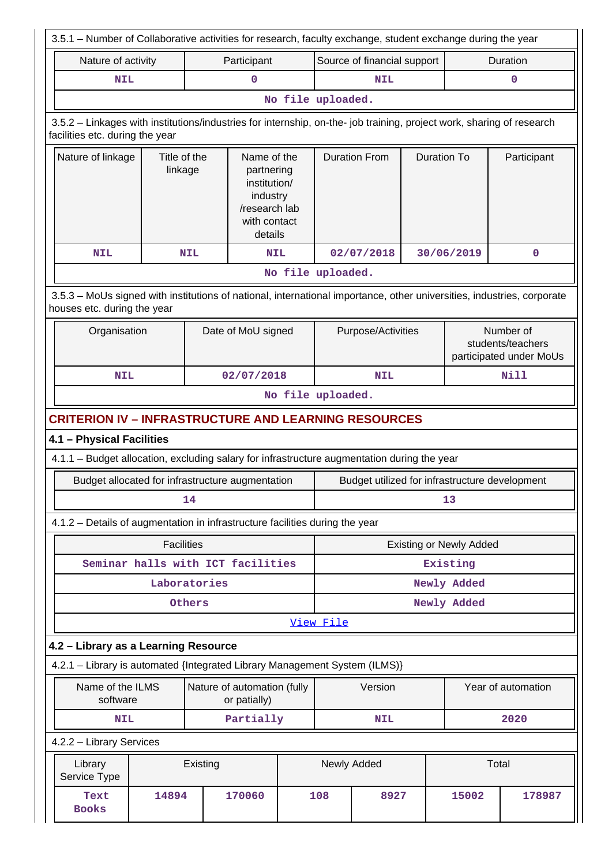| 3.5.1 – Number of Collaborative activities for research, faculty exchange, student exchange during the year                                              |                                   |              |                                                                                                   |  |                                                |                             |                    |                                |                                                           |
|----------------------------------------------------------------------------------------------------------------------------------------------------------|-----------------------------------|--------------|---------------------------------------------------------------------------------------------------|--|------------------------------------------------|-----------------------------|--------------------|--------------------------------|-----------------------------------------------------------|
| Nature of activity                                                                                                                                       |                                   |              | Participant                                                                                       |  |                                                | Source of financial support |                    |                                | Duration                                                  |
| <b>NIL</b>                                                                                                                                               |                                   |              | 0                                                                                                 |  |                                                | <b>NIL</b>                  |                    |                                | 0                                                         |
|                                                                                                                                                          |                                   |              |                                                                                                   |  | No file uploaded.                              |                             |                    |                                |                                                           |
| 3.5.2 - Linkages with institutions/industries for internship, on-the- job training, project work, sharing of research<br>facilities etc. during the year |                                   |              |                                                                                                   |  |                                                |                             |                    |                                |                                                           |
| Nature of linkage<br>Title of the<br>linkage                                                                                                             |                                   |              | Name of the<br>partnering<br>institution/<br>industry<br>/research lab<br>with contact<br>details |  | <b>Duration From</b>                           |                             | <b>Duration To</b> | Participant                    |                                                           |
| <b>NIL</b>                                                                                                                                               |                                   | <b>NIL</b>   | <b>NIL</b>                                                                                        |  |                                                | 02/07/2018                  |                    | 30/06/2019                     | $\mathbf 0$                                               |
|                                                                                                                                                          |                                   |              |                                                                                                   |  | No file uploaded.                              |                             |                    |                                |                                                           |
| 3.5.3 - MoUs signed with institutions of national, international importance, other universities, industries, corporate<br>houses etc. during the year    |                                   |              |                                                                                                   |  |                                                |                             |                    |                                |                                                           |
| Organisation                                                                                                                                             |                                   |              | Date of MoU signed                                                                                |  |                                                | Purpose/Activities          |                    |                                | Number of<br>students/teachers<br>participated under MoUs |
| <b>NIL</b>                                                                                                                                               |                                   |              | 02/07/2018                                                                                        |  |                                                | <b>NIL</b>                  |                    |                                | <b>Nill</b>                                               |
| No file uploaded.                                                                                                                                        |                                   |              |                                                                                                   |  |                                                |                             |                    |                                |                                                           |
| <b>CRITERION IV - INFRASTRUCTURE AND LEARNING RESOURCES</b>                                                                                              |                                   |              |                                                                                                   |  |                                                |                             |                    |                                |                                                           |
| 4.1 - Physical Facilities                                                                                                                                |                                   |              |                                                                                                   |  |                                                |                             |                    |                                |                                                           |
| 4.1.1 - Budget allocation, excluding salary for infrastructure augmentation during the year                                                              |                                   |              |                                                                                                   |  |                                                |                             |                    |                                |                                                           |
| Budget allocated for infrastructure augmentation                                                                                                         |                                   |              |                                                                                                   |  | Budget utilized for infrastructure development |                             |                    |                                |                                                           |
|                                                                                                                                                          |                                   | 14           |                                                                                                   |  | 13                                             |                             |                    |                                |                                                           |
| 4.1.2 - Details of augmentation in infrastructure facilities during the year                                                                             |                                   |              |                                                                                                   |  |                                                |                             |                    |                                |                                                           |
|                                                                                                                                                          | <b>Facilities</b>                 |              |                                                                                                   |  |                                                |                             |                    | <b>Existing or Newly Added</b> |                                                           |
|                                                                                                                                                          | Seminar halls with ICT facilities |              |                                                                                                   |  | Existing                                       |                             |                    |                                |                                                           |
|                                                                                                                                                          |                                   | Laboratories |                                                                                                   |  |                                                |                             |                    | Newly Added                    |                                                           |
|                                                                                                                                                          |                                   | Others       |                                                                                                   |  |                                                |                             |                    | Newly Added                    |                                                           |
|                                                                                                                                                          |                                   |              |                                                                                                   |  | View File                                      |                             |                    |                                |                                                           |
| 4.2 - Library as a Learning Resource                                                                                                                     |                                   |              |                                                                                                   |  |                                                |                             |                    |                                |                                                           |
| 4.2.1 - Library is automated {Integrated Library Management System (ILMS)}                                                                               |                                   |              |                                                                                                   |  |                                                |                             |                    |                                |                                                           |
| Name of the ILMS<br>software                                                                                                                             |                                   |              | Nature of automation (fully<br>or patially)                                                       |  |                                                | Version                     |                    |                                | Year of automation                                        |
| <b>NIL</b>                                                                                                                                               |                                   |              | Partially                                                                                         |  |                                                | <b>NIL</b>                  |                    |                                | 2020                                                      |
| 4.2.2 - Library Services                                                                                                                                 |                                   |              |                                                                                                   |  |                                                |                             |                    |                                |                                                           |
| Library<br>Service Type                                                                                                                                  |                                   | Existing     |                                                                                                   |  | Newly Added                                    |                             |                    | Total                          |                                                           |
| Text<br><b>Books</b>                                                                                                                                     | 14894                             |              | 170060                                                                                            |  | 108                                            | 8927                        |                    | 15002                          | 178987                                                    |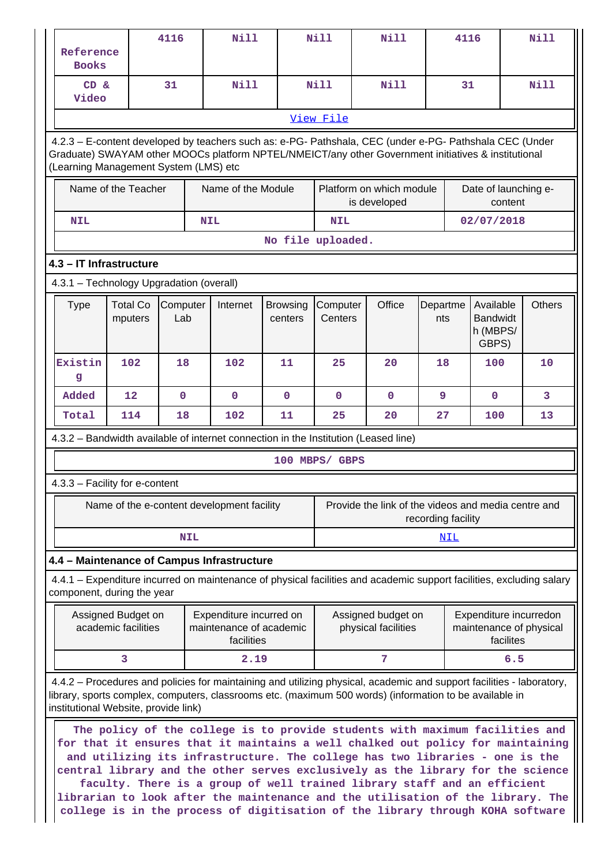| Reference<br><b>Books</b>                                                                                                                    |                                                                                                                                                                                                                                                                                                                                                                                                                                                                                                                                                                                                                             | 4116            | <b>Nill</b>                                                                                                           |                            | <b>Nill</b>         | Nill                                                |                    | 4116                                              |           | <b>Nill</b>                                       |  |
|----------------------------------------------------------------------------------------------------------------------------------------------|-----------------------------------------------------------------------------------------------------------------------------------------------------------------------------------------------------------------------------------------------------------------------------------------------------------------------------------------------------------------------------------------------------------------------------------------------------------------------------------------------------------------------------------------------------------------------------------------------------------------------------|-----------------|-----------------------------------------------------------------------------------------------------------------------|----------------------------|---------------------|-----------------------------------------------------|--------------------|---------------------------------------------------|-----------|---------------------------------------------------|--|
| CD &<br>Video                                                                                                                                |                                                                                                                                                                                                                                                                                                                                                                                                                                                                                                                                                                                                                             | 31              | <b>Nill</b>                                                                                                           |                            | <b>Nill</b>         | <b>Nill</b>                                         |                    | 31                                                |           | <b>Nill</b>                                       |  |
|                                                                                                                                              |                                                                                                                                                                                                                                                                                                                                                                                                                                                                                                                                                                                                                             |                 |                                                                                                                       |                            | View File           |                                                     |                    |                                                   |           |                                                   |  |
| Graduate) SWAYAM other MOOCs platform NPTEL/NMEICT/any other Government initiatives & institutional<br>(Learning Management System (LMS) etc |                                                                                                                                                                                                                                                                                                                                                                                                                                                                                                                                                                                                                             |                 | 4.2.3 - E-content developed by teachers such as: e-PG- Pathshala, CEC (under e-PG- Pathshala CEC (Under               |                            |                     |                                                     |                    |                                                   |           |                                                   |  |
|                                                                                                                                              | Name of the Teacher                                                                                                                                                                                                                                                                                                                                                                                                                                                                                                                                                                                                         |                 | Name of the Module                                                                                                    |                            |                     | Platform on which module<br>is developed            |                    | Date of launching e-                              | content   |                                                   |  |
| <b>NIL</b>                                                                                                                                   |                                                                                                                                                                                                                                                                                                                                                                                                                                                                                                                                                                                                                             |                 | <b>NIL</b>                                                                                                            |                            | <b>NIL</b>          |                                                     |                    | 02/07/2018                                        |           |                                                   |  |
|                                                                                                                                              | No file uploaded.                                                                                                                                                                                                                                                                                                                                                                                                                                                                                                                                                                                                           |                 |                                                                                                                       |                            |                     |                                                     |                    |                                                   |           |                                                   |  |
| 4.3 - IT Infrastructure                                                                                                                      |                                                                                                                                                                                                                                                                                                                                                                                                                                                                                                                                                                                                                             |                 |                                                                                                                       |                            |                     |                                                     |                    |                                                   |           |                                                   |  |
| 4.3.1 - Technology Upgradation (overall)                                                                                                     |                                                                                                                                                                                                                                                                                                                                                                                                                                                                                                                                                                                                                             |                 |                                                                                                                       |                            |                     |                                                     |                    |                                                   |           |                                                   |  |
| <b>Type</b>                                                                                                                                  | <b>Total Co</b><br>mputers                                                                                                                                                                                                                                                                                                                                                                                                                                                                                                                                                                                                  | Computer<br>Lab | Internet                                                                                                              | <b>Browsing</b><br>centers | Computer<br>Centers | Office                                              | Departme<br>nts    | Available<br><b>Bandwidt</b><br>h (MBPS/<br>GBPS) |           | <b>Others</b>                                     |  |
| Existin<br>g                                                                                                                                 | 102                                                                                                                                                                                                                                                                                                                                                                                                                                                                                                                                                                                                                         | 18              | 102                                                                                                                   | 11                         | 25                  | 20                                                  | 18                 | 100                                               |           | 10                                                |  |
| Added                                                                                                                                        | 12                                                                                                                                                                                                                                                                                                                                                                                                                                                                                                                                                                                                                          | $\mathbf 0$     | $\mathbf{O}$                                                                                                          | $\mathbf{O}$               | $\mathbf 0$         | $\mathbf 0$                                         | 9                  | $\mathbf 0$                                       |           | 3                                                 |  |
| Total                                                                                                                                        | 114                                                                                                                                                                                                                                                                                                                                                                                                                                                                                                                                                                                                                         | 18              | 102                                                                                                                   | 11                         | 25                  | 20                                                  | 27                 | 100                                               |           | 13                                                |  |
|                                                                                                                                              |                                                                                                                                                                                                                                                                                                                                                                                                                                                                                                                                                                                                                             |                 | 4.3.2 - Bandwidth available of internet connection in the Institution (Leased line)                                   |                            |                     |                                                     |                    |                                                   |           |                                                   |  |
|                                                                                                                                              |                                                                                                                                                                                                                                                                                                                                                                                                                                                                                                                                                                                                                             |                 |                                                                                                                       |                            | 100 MBPS/ GBPS      |                                                     |                    |                                                   |           |                                                   |  |
| 4.3.3 - Facility for e-content                                                                                                               |                                                                                                                                                                                                                                                                                                                                                                                                                                                                                                                                                                                                                             |                 |                                                                                                                       |                            |                     |                                                     |                    |                                                   |           |                                                   |  |
|                                                                                                                                              |                                                                                                                                                                                                                                                                                                                                                                                                                                                                                                                                                                                                                             |                 | Name of the e-content development facility                                                                            |                            |                     | Provide the link of the videos and media centre and | recording facility |                                                   |           |                                                   |  |
|                                                                                                                                              |                                                                                                                                                                                                                                                                                                                                                                                                                                                                                                                                                                                                                             | <b>NIL</b>      |                                                                                                                       |                            |                     |                                                     | <b>NIL</b>         |                                                   |           |                                                   |  |
| 4.4 - Maintenance of Campus Infrastructure                                                                                                   |                                                                                                                                                                                                                                                                                                                                                                                                                                                                                                                                                                                                                             |                 |                                                                                                                       |                            |                     |                                                     |                    |                                                   |           |                                                   |  |
| component, during the year                                                                                                                   |                                                                                                                                                                                                                                                                                                                                                                                                                                                                                                                                                                                                                             |                 | 4.4.1 – Expenditure incurred on maintenance of physical facilities and academic support facilities, excluding salary  |                            |                     |                                                     |                    |                                                   |           |                                                   |  |
|                                                                                                                                              | Assigned Budget on<br>academic facilities                                                                                                                                                                                                                                                                                                                                                                                                                                                                                                                                                                                   |                 | Expenditure incurred on<br>maintenance of academic<br>facilities                                                      |                            |                     | Assigned budget on<br>physical facilities           |                    |                                                   | facilites | Expenditure incurredon<br>maintenance of physical |  |
|                                                                                                                                              | 3                                                                                                                                                                                                                                                                                                                                                                                                                                                                                                                                                                                                                           |                 | 2.19                                                                                                                  |                            |                     | 7                                                   |                    |                                                   | 6.5       |                                                   |  |
| library, sports complex, computers, classrooms etc. (maximum 500 words) (information to be available in                                      |                                                                                                                                                                                                                                                                                                                                                                                                                                                                                                                                                                                                                             |                 | 4.4.2 - Procedures and policies for maintaining and utilizing physical, academic and support facilities - laboratory, |                            |                     |                                                     |                    |                                                   |           |                                                   |  |
|                                                                                                                                              | institutional Website, provide link)<br>The policy of the college is to provide students with maximum facilities and<br>for that it ensures that it maintains a well chalked out policy for maintaining<br>and utilizing its infrastructure. The college has two libraries - one is the<br>central library and the other serves exclusively as the library for the science<br>faculty. There is a group of well trained library staff and an efficient<br>librarian to look after the maintenance and the utilisation of the library. The<br>college is in the process of digitisation of the library through KOHA software |                 |                                                                                                                       |                            |                     |                                                     |                    |                                                   |           |                                                   |  |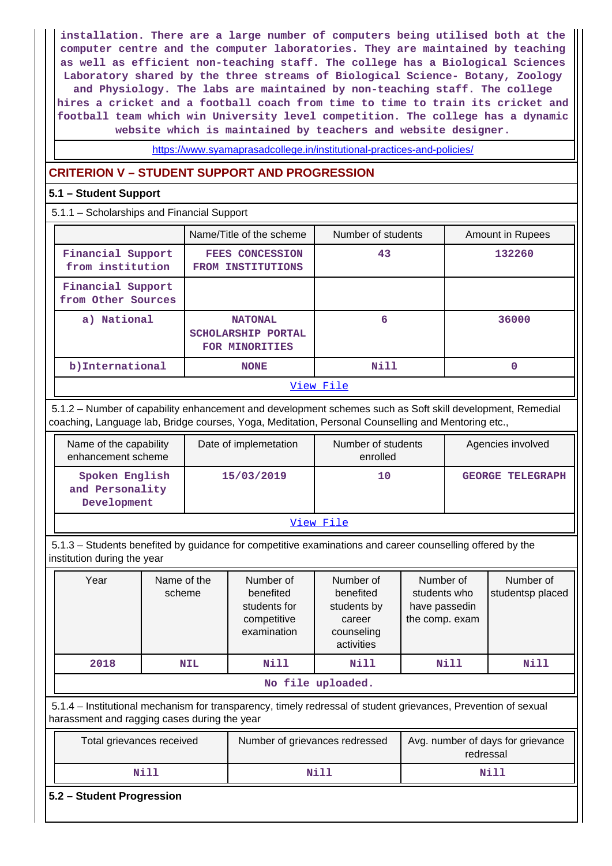**installation. There are a large number of computers being utilised both at the computer centre and the computer laboratories. They are maintained by teaching as well as efficient non-teaching staff. The college has a Biological Sciences Laboratory shared by the three streams of Biological Science- Botany, Zoology and Physiology. The labs are maintained by non-teaching staff. The college hires a cricket and a football coach from time to time to train its cricket and football team which win University level competition. The college has a dynamic website which is maintained by teachers and website designer.**

<https://www.syamaprasadcollege.in/institutional-practices-and-policies/>

## **CRITERION V – STUDENT SUPPORT AND PROGRESSION**

### **5.1 – Student Support**

5.1.1 – Scholarships and Financial Support

|                                         | Name/Title of the scheme                                      | Number of students | Amount in Rupees |
|-----------------------------------------|---------------------------------------------------------------|--------------------|------------------|
| Financial Support<br>from institution   | <b>FEES CONCESSION</b><br>FROM INSTITUTIONS                   | 43                 | 132260           |
| Financial Support<br>from Other Sources |                                                               |                    |                  |
| a) National                             | <b>NATONAL</b><br><b>SCHOLARSHIP PORTAL</b><br>FOR MINORITIES | 6                  | 36000            |
| b) International                        | <b>NONE</b>                                                   | Nill               | 0                |
|                                         |                                                               | View File          |                  |

 5.1.2 – Number of capability enhancement and development schemes such as Soft skill development, Remedial coaching, Language lab, Bridge courses, Yoga, Meditation, Personal Counselling and Mentoring etc.,

| Name of the capability<br>enhancement scheme     | Date of implemetation | Number of students<br>enrolled | Agencies involved       |
|--------------------------------------------------|-----------------------|--------------------------------|-------------------------|
| Spoken English<br>and Personality<br>Development | 15/03/2019            | 10                             | <b>GEORGE TELEGRAPH</b> |

[View File](https://assessmentonline.naac.gov.in/public/Postacc/Development_Schemes/2479_Development_Schemes_1582989505.xlsx)

 5.1.3 – Students benefited by guidance for competitive examinations and career counselling offered by the institution during the year

| Year              | Name of the<br>scheme | Number of<br>benefited<br>students for<br>competitive<br>examination | Number of<br>benefited<br>students by<br>career<br>counseling<br>activities | Number of<br>students who<br>have passedin<br>the comp. exam | Number of<br>studentsp placed |  |  |  |  |  |
|-------------------|-----------------------|----------------------------------------------------------------------|-----------------------------------------------------------------------------|--------------------------------------------------------------|-------------------------------|--|--|--|--|--|
| 2018              | <b>NIL</b>            |                                                                      | Nill                                                                        | Nill                                                         | Nill                          |  |  |  |  |  |
| No file uploaded. |                       |                                                                      |                                                                             |                                                              |                               |  |  |  |  |  |

 5.1.4 – Institutional mechanism for transparency, timely redressal of student grievances, Prevention of sexual harassment and ragging cases during the year

| Total grievances received | Number of grievances redressed | Avg. number of days for grievance<br>redressal |  |  |
|---------------------------|--------------------------------|------------------------------------------------|--|--|
| Nill                      | Nil:                           | Nil                                            |  |  |

### **5.2 – Student Progression**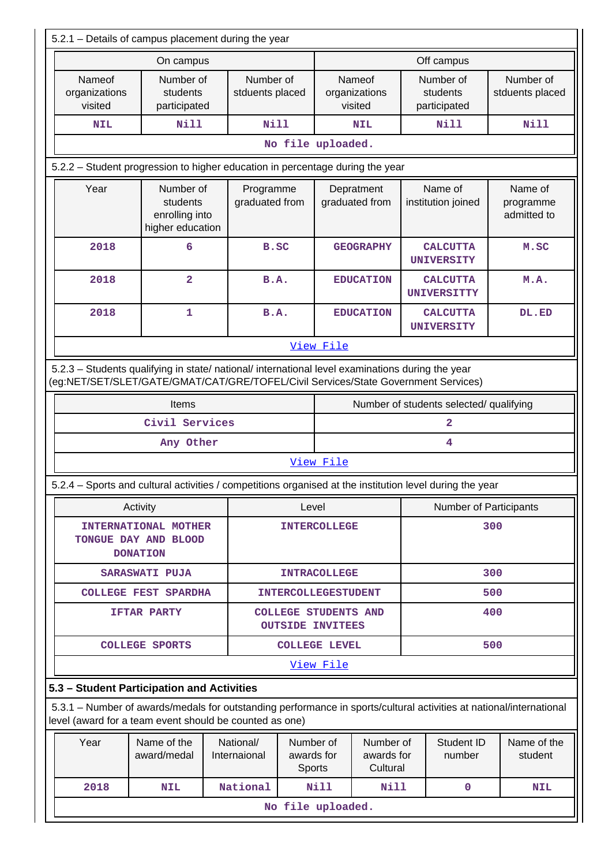|                                                                                                                                                                                        | 5.2.1 - Details of campus placement during the year                                                                 |                              |                                                        |                               |                                     |     |                                       |                                     |  |
|----------------------------------------------------------------------------------------------------------------------------------------------------------------------------------------|---------------------------------------------------------------------------------------------------------------------|------------------------------|--------------------------------------------------------|-------------------------------|-------------------------------------|-----|---------------------------------------|-------------------------------------|--|
|                                                                                                                                                                                        | On campus                                                                                                           |                              |                                                        |                               |                                     |     | Off campus                            |                                     |  |
| Nameof<br>organizations<br>visited                                                                                                                                                     | Number of<br>students<br>participated                                                                               | Number of<br>stduents placed |                                                        |                               | Nameof<br>organizations<br>visited  |     | Number of<br>students<br>participated | Number of<br>stduents placed        |  |
| <b>NIL</b>                                                                                                                                                                             | Nill                                                                                                                | <b>Nill</b>                  |                                                        |                               | <b>NIL</b>                          |     | Nill                                  | Nill                                |  |
|                                                                                                                                                                                        |                                                                                                                     |                              | No file uploaded.                                      |                               |                                     |     |                                       |                                     |  |
|                                                                                                                                                                                        | 5.2.2 - Student progression to higher education in percentage during the year                                       |                              |                                                        |                               |                                     |     |                                       |                                     |  |
| Year                                                                                                                                                                                   | Number of<br>students<br>enrolling into<br>higher education                                                         | Programme<br>graduated from  |                                                        |                               | Depratment<br>graduated from        |     | Name of<br>institution joined         | Name of<br>programme<br>admitted to |  |
| 2018                                                                                                                                                                                   | 6                                                                                                                   | B.SC                         |                                                        |                               | <b>GEOGRAPHY</b>                    |     | <b>CALCUTTA</b><br><b>UNIVERSITY</b>  | M.SC                                |  |
| 2018                                                                                                                                                                                   | $\overline{a}$                                                                                                      | <b>B.A.</b>                  |                                                        | <b>EDUCATION</b>              |                                     |     | <b>CALCUTTA</b><br><b>UNIVERSITTY</b> | M.A.                                |  |
| 2018                                                                                                                                                                                   | $\mathbf 1$                                                                                                         | B.A.                         |                                                        |                               | <b>EDUCATION</b>                    |     | <b>CALCUTTA</b><br><b>UNIVERSITY</b>  | DL.ED                               |  |
|                                                                                                                                                                                        |                                                                                                                     |                              |                                                        | View File                     |                                     |     |                                       |                                     |  |
| 5.2.3 - Students qualifying in state/ national/ international level examinations during the year<br>(eg:NET/SET/SLET/GATE/GMAT/CAT/GRE/TOFEL/Civil Services/State Government Services) |                                                                                                                     |                              |                                                        |                               |                                     |     |                                       |                                     |  |
|                                                                                                                                                                                        | Number of students selected/ qualifying<br><b>Items</b>                                                             |                              |                                                        |                               |                                     |     |                                       |                                     |  |
|                                                                                                                                                                                        | Civil Services                                                                                                      |                              |                                                        |                               |                                     |     | $\overline{\mathbf{2}}$               |                                     |  |
|                                                                                                                                                                                        | Any Other                                                                                                           |                              |                                                        |                               |                                     |     | 4                                     |                                     |  |
|                                                                                                                                                                                        |                                                                                                                     |                              |                                                        | View File                     |                                     |     |                                       |                                     |  |
|                                                                                                                                                                                        | 5.2.4 – Sports and cultural activities / competitions organised at the institution level during the year            |                              |                                                        |                               |                                     |     |                                       |                                     |  |
|                                                                                                                                                                                        | Activity                                                                                                            |                              | Level                                                  | <b>Number of Participants</b> |                                     |     |                                       |                                     |  |
|                                                                                                                                                                                        | INTERNATIONAL MOTHER<br>TONGUE DAY AND BLOOD<br><b>DONATION</b>                                                     |                              |                                                        | <b>INTERCOLLEGE</b>           |                                     | 300 |                                       |                                     |  |
|                                                                                                                                                                                        | <b>SARASWATI PUJA</b>                                                                                               |                              |                                                        | <b>INTRACOLLEGE</b>           |                                     |     |                                       | 300                                 |  |
|                                                                                                                                                                                        | <b>COLLEGE FEST SPARDHA</b>                                                                                         |                              | <b>INTERCOLLEGESTUDENT</b>                             |                               |                                     |     |                                       | 500                                 |  |
|                                                                                                                                                                                        | IFTAR PARTY                                                                                                         |                              | <b>COLLEGE STUDENTS AND</b><br><b>OUTSIDE INVITEES</b> |                               |                                     |     |                                       | 400                                 |  |
|                                                                                                                                                                                        | <b>COLLEGE SPORTS</b>                                                                                               |                              | <b>COLLEGE LEVEL</b>                                   |                               |                                     |     |                                       | 500                                 |  |
|                                                                                                                                                                                        |                                                                                                                     |                              |                                                        | View File                     |                                     |     |                                       |                                     |  |
| 5.3 - Student Participation and Activities                                                                                                                                             |                                                                                                                     |                              |                                                        |                               |                                     |     |                                       |                                     |  |
| level (award for a team event should be counted as one)                                                                                                                                | 5.3.1 – Number of awards/medals for outstanding performance in sports/cultural activities at national/international |                              |                                                        |                               |                                     |     |                                       |                                     |  |
| Year                                                                                                                                                                                   | Name of the<br>award/medal                                                                                          | National/<br>Internaional    | Number of<br>awards for<br>Sports                      |                               | Number of<br>awards for<br>Cultural |     | Student ID<br>number                  | Name of the<br>student              |  |
| 2018                                                                                                                                                                                   | <b>NIL</b>                                                                                                          | National                     |                                                        | Nill                          | Nill                                |     | $\mathbf 0$                           | <b>NIL</b>                          |  |
|                                                                                                                                                                                        |                                                                                                                     |                              | No file uploaded.                                      |                               |                                     |     |                                       |                                     |  |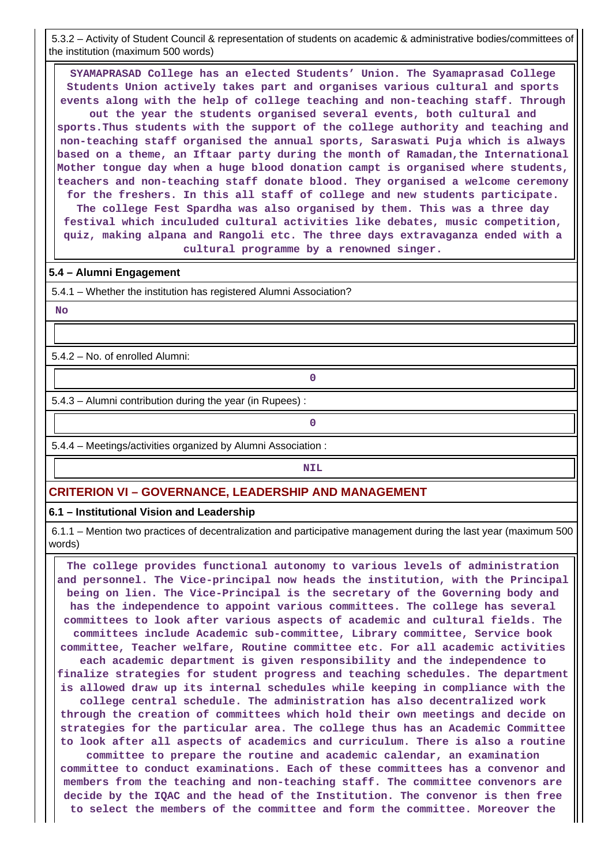5.3.2 – Activity of Student Council & representation of students on academic & administrative bodies/committees of the institution (maximum 500 words)

 **SYAMAPRASAD College has an elected Students' Union. The Syamaprasad College Students Union actively takes part and organises various cultural and sports events along with the help of college teaching and non-teaching staff. Through out the year the students organised several events, both cultural and sports.Thus students with the support of the college authority and teaching and non-teaching staff organised the annual sports, Saraswati Puja which is always based on a theme, an Iftaar party during the month of Ramadan,the International Mother tongue day when a huge blood donation campt is organised where students, teachers and non-teaching staff donate blood. They organised a welcome ceremony for the freshers. In this all staff of college and new students participate. The college Fest Spardha was also organised by them. This was a three day festival which inculuded cultural activities like debates, music competition, quiz, making alpana and Rangoli etc. The three days extravaganza ended with a**

**cultural programme by a renowned singer.**

#### **5.4 – Alumni Engagement**

5.4.1 – Whether the institution has registered Alumni Association?

 **No**

5.4.2 – No. of enrolled Alumni:

**0**

5.4.3 – Alumni contribution during the year (in Rupees) :

**0**

5.4.4 – Meetings/activities organized by Alumni Association :

### **NIL**

### **CRITERION VI – GOVERNANCE, LEADERSHIP AND MANAGEMENT**

#### **6.1 – Institutional Vision and Leadership**

 6.1.1 – Mention two practices of decentralization and participative management during the last year (maximum 500 words)

 **The college provides functional autonomy to various levels of administration and personnel. The Vice-principal now heads the institution, with the Principal being on lien. The Vice-Principal is the secretary of the Governing body and has the independence to appoint various committees. The college has several committees to look after various aspects of academic and cultural fields. The committees include Academic sub-committee, Library committee, Service book committee, Teacher welfare, Routine committee etc. For all academic activities each academic department is given responsibility and the independence to finalize strategies for student progress and teaching schedules. The department is allowed draw up its internal schedules while keeping in compliance with the college central schedule. The administration has also decentralized work through the creation of committees which hold their own meetings and decide on strategies for the particular area. The college thus has an Academic Committee to look after all aspects of academics and curriculum. There is also a routine committee to prepare the routine and academic calendar, an examination committee to conduct examinations. Each of these committees has a convenor and members from the teaching and non-teaching staff. The committee convenors are decide by the IQAC and the head of the Institution. The convenor is then free**

**to select the members of the committee and form the committee. Moreover the**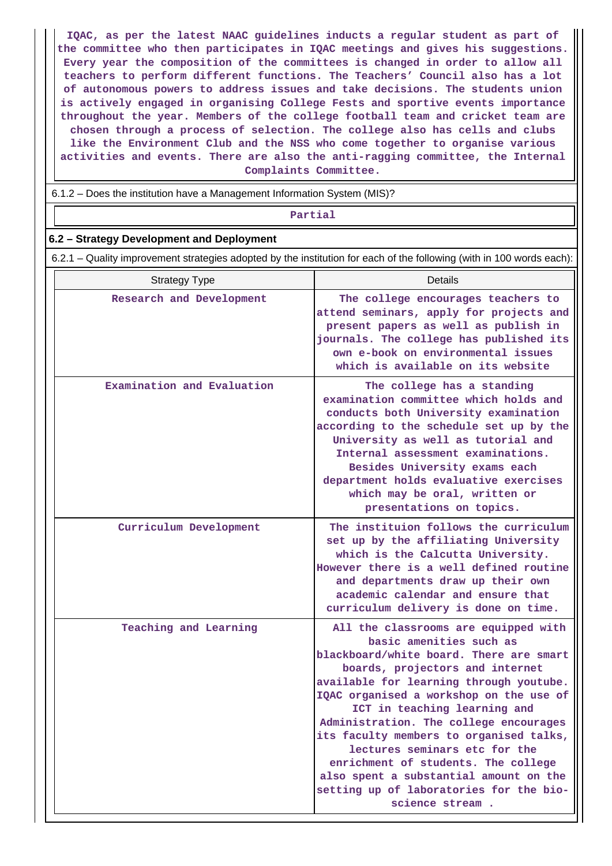**IQAC, as per the latest NAAC guidelines inducts a regular student as part of the committee who then participates in IQAC meetings and gives his suggestions. Every year the composition of the committees is changed in order to allow all teachers to perform different functions. The Teachers' Council also has a lot of autonomous powers to address issues and take decisions. The students union is actively engaged in organising College Fests and sportive events importance throughout the year. Members of the college football team and cricket team are chosen through a process of selection. The college also has cells and clubs like the Environment Club and the NSS who come together to organise various activities and events. There are also the anti-ragging committee, the Internal Complaints Committee.**

6.1.2 – Does the institution have a Management Information System (MIS)?

#### **Partial**

### **6.2 – Strategy Development and Deployment**

6.2.1 – Quality improvement strategies adopted by the institution for each of the following (with in 100 words each):

| <b>Strategy Type</b>       | Details                                                                                                                                                                                                                                                                                                                                                                                                                                                                                                                                  |
|----------------------------|------------------------------------------------------------------------------------------------------------------------------------------------------------------------------------------------------------------------------------------------------------------------------------------------------------------------------------------------------------------------------------------------------------------------------------------------------------------------------------------------------------------------------------------|
| Research and Development   | The college encourages teachers to<br>attend seminars, apply for projects and<br>present papers as well as publish in<br>journals. The college has published its<br>own e-book on environmental issues<br>which is available on its website                                                                                                                                                                                                                                                                                              |
| Examination and Evaluation | The college has a standing<br>examination committee which holds and<br>conducts both University examination<br>according to the schedule set up by the<br>University as well as tutorial and<br>Internal assessment examinations.<br>Besides University exams each<br>department holds evaluative exercises<br>which may be oral, written or<br>presentations on topics.                                                                                                                                                                 |
| Curriculum Development     | The instituion follows the curriculum<br>set up by the affiliating University<br>which is the Calcutta University.<br>However there is a well defined routine<br>and departments draw up their own<br>academic calendar and ensure that<br>curriculum delivery is done on time.                                                                                                                                                                                                                                                          |
| Teaching and Learning      | All the classrooms are equipped with<br>basic amenities such as<br>blackboard/white board. There are smart<br>boards, projectors and internet<br>available for learning through youtube.<br>IQAC organised a workshop on the use of<br>ICT in teaching learning and<br>Administration. The college encourages<br>its faculty members to organised talks,<br>lectures seminars etc for the<br>enrichment of students. The college<br>also spent a substantial amount on the<br>setting up of laboratories for the bio-<br>science stream. |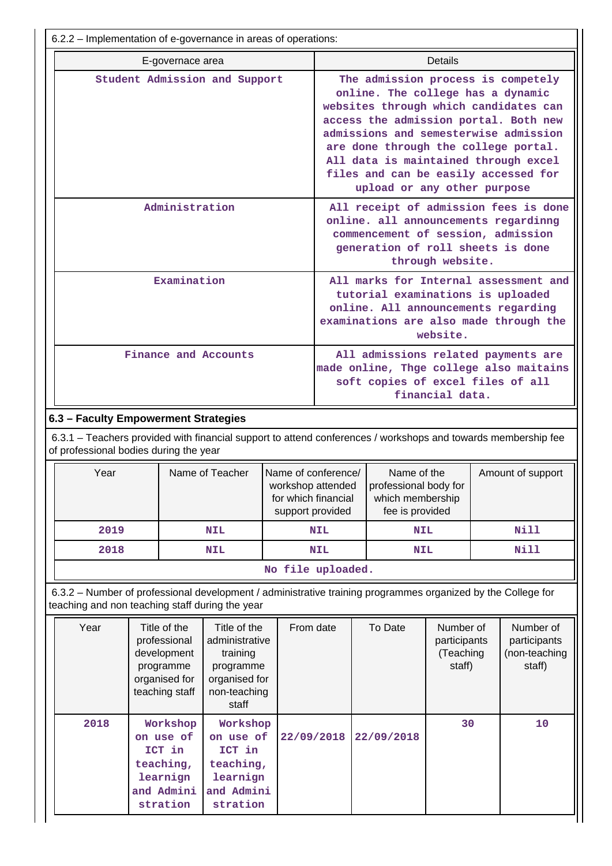| 6.2.2 - Implementation of e-governance in areas of operations:                                                                                                 |                                                                                                                                                         |                                                                                                                                                                                                                                                                                                                                                           |                                                                                                                                                                              |                                                                             |                   |  |  |
|----------------------------------------------------------------------------------------------------------------------------------------------------------------|---------------------------------------------------------------------------------------------------------------------------------------------------------|-----------------------------------------------------------------------------------------------------------------------------------------------------------------------------------------------------------------------------------------------------------------------------------------------------------------------------------------------------------|------------------------------------------------------------------------------------------------------------------------------------------------------------------------------|-----------------------------------------------------------------------------|-------------------|--|--|
|                                                                                                                                                                | E-governace area                                                                                                                                        |                                                                                                                                                                                                                                                                                                                                                           |                                                                                                                                                                              | <b>Details</b>                                                              |                   |  |  |
| Student Admission and Support                                                                                                                                  |                                                                                                                                                         | The admission process is competely<br>online. The college has a dynamic<br>websites through which candidates can<br>access the admission portal. Both new<br>admissions and semesterwise admission<br>are done through the college portal.<br>All data is maintained through excel<br>files and can be easily accessed for<br>upload or any other purpose |                                                                                                                                                                              |                                                                             |                   |  |  |
|                                                                                                                                                                | Administration                                                                                                                                          |                                                                                                                                                                                                                                                                                                                                                           | All receipt of admission fees is done<br>online. all announcements regardinng<br>commencement of session, admission<br>generation of roll sheets is done<br>through website. |                                                                             |                   |  |  |
| Examination                                                                                                                                                    |                                                                                                                                                         |                                                                                                                                                                                                                                                                                                                                                           | All marks for Internal assessment and<br>tutorial examinations is uploaded<br>online. All announcements regarding<br>examinations are also made through the<br>website.      |                                                                             |                   |  |  |
| Finance and Accounts<br>All admissions related payments are<br>made online, Thge college also maitains<br>soft copies of excel files of all<br>financial data. |                                                                                                                                                         |                                                                                                                                                                                                                                                                                                                                                           |                                                                                                                                                                              |                                                                             |                   |  |  |
| 6.3 - Faculty Empowerment Strategies                                                                                                                           |                                                                                                                                                         |                                                                                                                                                                                                                                                                                                                                                           |                                                                                                                                                                              |                                                                             |                   |  |  |
|                                                                                                                                                                | 6.3.1 - Teachers provided with financial support to attend conferences / workshops and towards membership fee<br>of professional bodies during the year |                                                                                                                                                                                                                                                                                                                                                           |                                                                                                                                                                              |                                                                             |                   |  |  |
| Year                                                                                                                                                           | Name of Teacher                                                                                                                                         | Name of conference/<br>workshop attended<br>for which financial<br>support provided                                                                                                                                                                                                                                                                       |                                                                                                                                                                              | Name of the<br>professional body for<br>which membership<br>fee is provided | Amount of support |  |  |
| 2019                                                                                                                                                           | <b>NIL</b>                                                                                                                                              |                                                                                                                                                                                                                                                                                                                                                           | <b>NIL</b>                                                                                                                                                                   | <b>NIL</b>                                                                  | Nill              |  |  |

 6.3.2 – Number of professional development / administrative training programmes organized by the College for teaching and non teaching staff during the year

 **2018 NIL NIL NIL Nill No file uploaded.**

| Year | Title of the<br>professional<br>development<br>programme<br>organised for<br>teaching staff | Title of the<br>administrative<br>training<br>programme<br>organised for<br>non-teaching<br>staff | From date  | To Date    | Number of<br>participants<br>(Teaching<br>staff) | Number of<br>participants<br>(non-teaching<br>staff) |
|------|---------------------------------------------------------------------------------------------|---------------------------------------------------------------------------------------------------|------------|------------|--------------------------------------------------|------------------------------------------------------|
| 2018 | Workshop<br>on use of<br>ICT in<br>teaching,<br>learnign<br>and Admini<br>stration          | Workshop<br>on use of<br>ICT in<br>teaching,<br>learnign<br>and Admini<br>stration                | 22/09/2018 | 22/09/2018 | 30                                               | 10                                                   |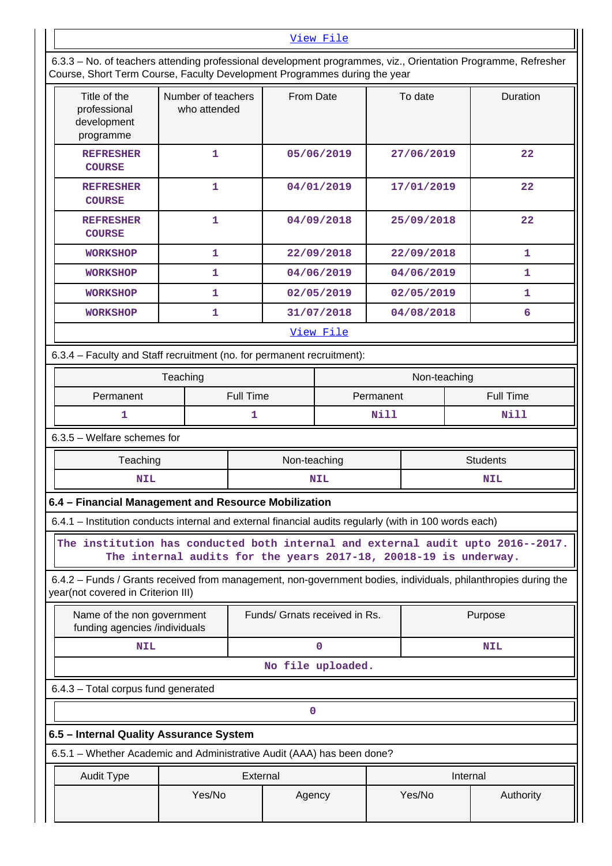|                                                                                                                                                                                            |                                                                  |                  |                               | View File         |            |            |          |                  |
|--------------------------------------------------------------------------------------------------------------------------------------------------------------------------------------------|------------------------------------------------------------------|------------------|-------------------------------|-------------------|------------|------------|----------|------------------|
| 6.3.3 - No. of teachers attending professional development programmes, viz., Orientation Programme, Refresher<br>Course, Short Term Course, Faculty Development Programmes during the year |                                                                  |                  |                               |                   |            |            |          |                  |
| Title of the<br>professional<br>development<br>programme                                                                                                                                   | Number of teachers<br>who attended                               |                  |                               | From Date         |            | To date    |          | Duration         |
| <b>REFRESHER</b><br><b>COURSE</b>                                                                                                                                                          | 1                                                                |                  |                               | 05/06/2019        |            | 27/06/2019 |          | 22               |
| <b>REFRESHER</b><br><b>COURSE</b>                                                                                                                                                          | 1                                                                |                  |                               | 04/01/2019        |            | 17/01/2019 |          | 22               |
| <b>REFRESHER</b><br><b>COURSE</b>                                                                                                                                                          | 1                                                                |                  |                               | 04/09/2018        |            | 25/09/2018 |          | 22               |
| <b>WORKSHOP</b>                                                                                                                                                                            | $\mathbf{1}$                                                     |                  |                               | 22/09/2018        |            | 22/09/2018 |          | $\mathbf{1}$     |
| <b>WORKSHOP</b>                                                                                                                                                                            | $\mathbf{1}$                                                     |                  |                               | 04/06/2019        |            | 04/06/2019 |          | 1                |
| <b>WORKSHOP</b>                                                                                                                                                                            | 1                                                                |                  |                               | 02/05/2019        |            | 02/05/2019 |          | 1                |
| <b>WORKSHOP</b>                                                                                                                                                                            | 1                                                                |                  |                               | 31/07/2018        |            | 04/08/2018 |          | 6                |
|                                                                                                                                                                                            |                                                                  |                  |                               | View File         |            |            |          |                  |
| 6.3.4 - Faculty and Staff recruitment (no. for permanent recruitment):                                                                                                                     |                                                                  |                  |                               |                   |            |            |          |                  |
| Teaching<br>Non-teaching                                                                                                                                                                   |                                                                  |                  |                               |                   |            |            |          |                  |
| Permanent                                                                                                                                                                                  |                                                                  | <b>Full Time</b> |                               |                   |            | Permanent  |          | <b>Full Time</b> |
| 1                                                                                                                                                                                          |                                                                  | 1                |                               |                   | Nill       | Nill       |          |                  |
| $6.3.5$ – Welfare schemes for                                                                                                                                                              |                                                                  |                  |                               |                   |            |            |          |                  |
| Teaching<br>Non-teaching<br><b>Students</b>                                                                                                                                                |                                                                  |                  |                               |                   |            |            |          |                  |
| <b>NIL</b>                                                                                                                                                                                 |                                                                  |                  |                               | <b>NIL</b>        | <b>NIL</b> |            |          |                  |
| 6.4 - Financial Management and Resource Mobilization                                                                                                                                       |                                                                  |                  |                               |                   |            |            |          |                  |
| 6.4.1 – Institution conducts internal and external financial audits regularly (with in 100 words each)                                                                                     |                                                                  |                  |                               |                   |            |            |          |                  |
| The institution has conducted both internal and external audit upto 2016--2017.                                                                                                            | The internal audits for the years 2017-18, 20018-19 is underway. |                  |                               |                   |            |            |          |                  |
| 6.4.2 – Funds / Grants received from management, non-government bodies, individuals, philanthropies during the<br>year(not covered in Criterion III)                                       |                                                                  |                  |                               |                   |            |            |          |                  |
| Name of the non government<br>funding agencies /individuals                                                                                                                                |                                                                  |                  | Funds/ Grnats received in Rs. |                   |            |            |          | Purpose          |
| <b>NIL</b>                                                                                                                                                                                 |                                                                  |                  | $\mathbf 0$                   |                   |            | <b>NIL</b> |          |                  |
|                                                                                                                                                                                            |                                                                  |                  |                               | No file uploaded. |            |            |          |                  |
| 6.4.3 - Total corpus fund generated                                                                                                                                                        |                                                                  |                  |                               |                   |            |            |          |                  |
|                                                                                                                                                                                            |                                                                  |                  | 0                             |                   |            |            |          |                  |
| 6.5 - Internal Quality Assurance System                                                                                                                                                    |                                                                  |                  |                               |                   |            |            |          |                  |
| 6.5.1 - Whether Academic and Administrative Audit (AAA) has been done?                                                                                                                     |                                                                  |                  |                               |                   |            |            |          |                  |
| <b>Audit Type</b>                                                                                                                                                                          |                                                                  | External         |                               |                   |            |            | Internal |                  |
|                                                                                                                                                                                            | Yes/No                                                           |                  | Agency                        |                   |            | Yes/No     |          | Authority        |
|                                                                                                                                                                                            |                                                                  |                  |                               |                   |            |            |          |                  |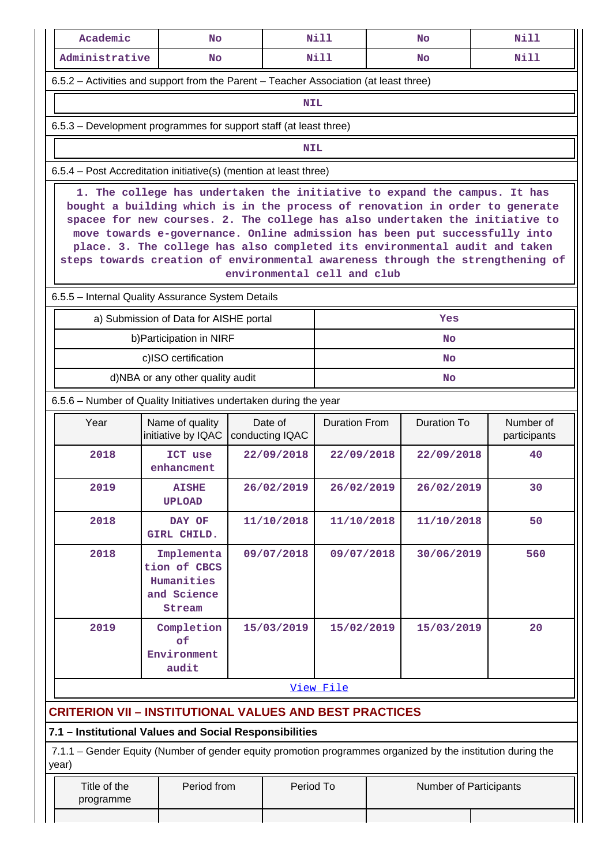| Academic                                                                                                                                                                                                                                                                                                                                                                                                                                                                                                               | <b>No</b>                                                                                                   |             | Nill                       |                      |                                     | <b>No</b>          | <b>Nill</b>               |  |  |
|------------------------------------------------------------------------------------------------------------------------------------------------------------------------------------------------------------------------------------------------------------------------------------------------------------------------------------------------------------------------------------------------------------------------------------------------------------------------------------------------------------------------|-------------------------------------------------------------------------------------------------------------|-------------|----------------------------|----------------------|-------------------------------------|--------------------|---------------------------|--|--|
| Administrative                                                                                                                                                                                                                                                                                                                                                                                                                                                                                                         | <b>No</b>                                                                                                   |             |                            | <b>Nill</b>          |                                     | <b>No</b>          | <b>Nill</b>               |  |  |
| 6.5.2 – Activities and support from the Parent – Teacher Association (at least three)                                                                                                                                                                                                                                                                                                                                                                                                                                  |                                                                                                             |             |                            |                      |                                     |                    |                           |  |  |
| <b>NIL</b>                                                                                                                                                                                                                                                                                                                                                                                                                                                                                                             |                                                                                                             |             |                            |                      |                                     |                    |                           |  |  |
| 6.5.3 – Development programmes for support staff (at least three)                                                                                                                                                                                                                                                                                                                                                                                                                                                      |                                                                                                             |             |                            |                      |                                     |                    |                           |  |  |
| <b>NIL</b>                                                                                                                                                                                                                                                                                                                                                                                                                                                                                                             |                                                                                                             |             |                            |                      |                                     |                    |                           |  |  |
| 6.5.4 - Post Accreditation initiative(s) (mention at least three)                                                                                                                                                                                                                                                                                                                                                                                                                                                      |                                                                                                             |             |                            |                      |                                     |                    |                           |  |  |
| 1. The college has undertaken the initiative to expand the campus. It has<br>bought a building which is in the process of renovation in order to generate<br>spacee for new courses. 2. The college has also undertaken the initiative to<br>move towards e-governance. Online admission has been put successfully into<br>place. 3. The college has also completed its environmental audit and taken<br>steps towards creation of environmental awareness through the strengthening of<br>environmental cell and club |                                                                                                             |             |                            |                      |                                     |                    |                           |  |  |
|                                                                                                                                                                                                                                                                                                                                                                                                                                                                                                                        | 6.5.5 - Internal Quality Assurance System Details                                                           |             |                            |                      |                                     |                    |                           |  |  |
|                                                                                                                                                                                                                                                                                                                                                                                                                                                                                                                        | a) Submission of Data for AISHE portal                                                                      |             |                            |                      |                                     | Yes                |                           |  |  |
|                                                                                                                                                                                                                                                                                                                                                                                                                                                                                                                        | b) Participation in NIRF                                                                                    |             |                            |                      |                                     | <b>No</b>          |                           |  |  |
|                                                                                                                                                                                                                                                                                                                                                                                                                                                                                                                        | c)ISO certification                                                                                         |             |                            |                      |                                     | <b>No</b>          |                           |  |  |
| d)NBA or any other quality audit<br>No                                                                                                                                                                                                                                                                                                                                                                                                                                                                                 |                                                                                                             |             |                            |                      |                                     |                    |                           |  |  |
| 6.5.6 - Number of Quality Initiatives undertaken during the year                                                                                                                                                                                                                                                                                                                                                                                                                                                       |                                                                                                             |             |                            |                      |                                     |                    |                           |  |  |
| Year                                                                                                                                                                                                                                                                                                                                                                                                                                                                                                                   | Name of quality<br>initiative by IQAC                                                                       |             | Date of<br>conducting IQAC | <b>Duration From</b> |                                     | <b>Duration To</b> | Number of<br>participants |  |  |
| 2018                                                                                                                                                                                                                                                                                                                                                                                                                                                                                                                   | ICT use<br>enhancment                                                                                       |             | 22/09/2018                 | 22/09/2018           |                                     | 22/09/2018         | 40                        |  |  |
| 2019                                                                                                                                                                                                                                                                                                                                                                                                                                                                                                                   | <b>AISHE</b><br><b>UPLOAD</b>                                                                               |             | 26/02/2019                 | 26/02/2019           |                                     | 26/02/2019         | 30                        |  |  |
| 2018                                                                                                                                                                                                                                                                                                                                                                                                                                                                                                                   | DAY OF<br>GIRL CHILD.                                                                                       |             | 11/10/2018                 | 11/10/2018           |                                     | 11/10/2018         | 50                        |  |  |
| 2018                                                                                                                                                                                                                                                                                                                                                                                                                                                                                                                   | Implementa<br>tion of CBCS<br>Humanities<br>and Science<br>Stream                                           |             | 09/07/2018                 | 09/07/2018           |                                     | 30/06/2019         | 560                       |  |  |
| 2019                                                                                                                                                                                                                                                                                                                                                                                                                                                                                                                   | Completion<br>of<br>Environment<br>audit                                                                    |             | 15/03/2019                 | 15/02/2019           |                                     | 15/03/2019         | 20                        |  |  |
|                                                                                                                                                                                                                                                                                                                                                                                                                                                                                                                        |                                                                                                             |             |                            | View File            |                                     |                    |                           |  |  |
|                                                                                                                                                                                                                                                                                                                                                                                                                                                                                                                        | <b>CRITERION VII - INSTITUTIONAL VALUES AND BEST PRACTICES</b>                                              |             |                            |                      |                                     |                    |                           |  |  |
|                                                                                                                                                                                                                                                                                                                                                                                                                                                                                                                        | 7.1 - Institutional Values and Social Responsibilities                                                      |             |                            |                      |                                     |                    |                           |  |  |
| year)                                                                                                                                                                                                                                                                                                                                                                                                                                                                                                                  | 7.1.1 – Gender Equity (Number of gender equity promotion programmes organized by the institution during the |             |                            |                      |                                     |                    |                           |  |  |
| Title of the<br>programme                                                                                                                                                                                                                                                                                                                                                                                                                                                                                              |                                                                                                             | Period from |                            |                      | Period To<br>Number of Participants |                    |                           |  |  |
|                                                                                                                                                                                                                                                                                                                                                                                                                                                                                                                        |                                                                                                             |             |                            |                      |                                     |                    |                           |  |  |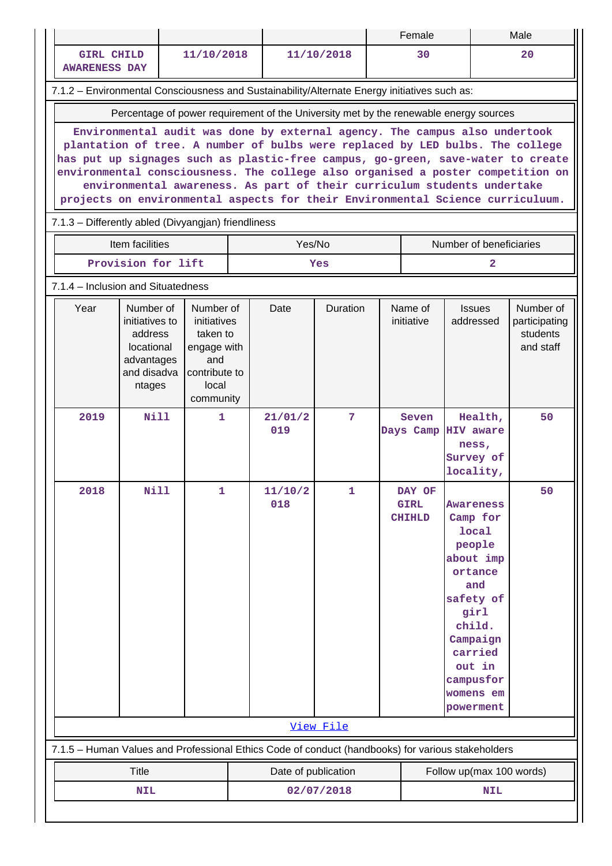|                                                                                                                                                                                                                                                                                                                                                                                                                                                                                                |                                                                                             |                                                                                                   |  |                     |                 |    | Female                |                                                                | Male                                                |
|------------------------------------------------------------------------------------------------------------------------------------------------------------------------------------------------------------------------------------------------------------------------------------------------------------------------------------------------------------------------------------------------------------------------------------------------------------------------------------------------|---------------------------------------------------------------------------------------------|---------------------------------------------------------------------------------------------------|--|---------------------|-----------------|----|-----------------------|----------------------------------------------------------------|-----------------------------------------------------|
| <b>GIRL CHILD</b><br><b>AWARENESS DAY</b>                                                                                                                                                                                                                                                                                                                                                                                                                                                      |                                                                                             | 11/10/2018                                                                                        |  |                     | 11/10/2018      | 30 |                       |                                                                | 20                                                  |
| 7.1.2 - Environmental Consciousness and Sustainability/Alternate Energy initiatives such as:                                                                                                                                                                                                                                                                                                                                                                                                   |                                                                                             |                                                                                                   |  |                     |                 |    |                       |                                                                |                                                     |
| Percentage of power requirement of the University met by the renewable energy sources                                                                                                                                                                                                                                                                                                                                                                                                          |                                                                                             |                                                                                                   |  |                     |                 |    |                       |                                                                |                                                     |
| Environmental audit was done by external agency. The campus also undertook<br>plantation of tree. A number of bulbs were replaced by LED bulbs. The college<br>has put up signages such as plastic-free campus, go-green, save-water to create<br>environmental consciousness. The college also organised a poster competition on<br>environmental awareness. As part of their curriculum students undertake<br>projects on environmental aspects for their Environmental Science curriculuum. |                                                                                             |                                                                                                   |  |                     |                 |    |                       |                                                                |                                                     |
| 7.1.3 - Differently abled (Divyangjan) friendliness                                                                                                                                                                                                                                                                                                                                                                                                                                            |                                                                                             |                                                                                                   |  |                     |                 |    |                       |                                                                |                                                     |
|                                                                                                                                                                                                                                                                                                                                                                                                                                                                                                | Item facilities                                                                             |                                                                                                   |  | Yes/No              |                 |    |                       | Number of beneficiaries                                        |                                                     |
|                                                                                                                                                                                                                                                                                                                                                                                                                                                                                                | Provision for lift                                                                          |                                                                                                   |  |                     | Yes             |    |                       | 2                                                              |                                                     |
| 7.1.4 – Inclusion and Situatedness                                                                                                                                                                                                                                                                                                                                                                                                                                                             |                                                                                             |                                                                                                   |  |                     |                 |    |                       |                                                                |                                                     |
| Year                                                                                                                                                                                                                                                                                                                                                                                                                                                                                           | Number of<br>initiatives to<br>address<br>locational<br>advantages<br>and disadva<br>ntages | Number of<br>initiatives<br>taken to<br>engage with<br>and<br>contribute to<br>local<br>community |  | Date                | <b>Duration</b> |    | Name of<br>initiative | <b>Issues</b><br>addressed                                     | Number of<br>participating<br>students<br>and staff |
| 2019                                                                                                                                                                                                                                                                                                                                                                                                                                                                                           | Nill                                                                                        | 1.                                                                                                |  | 21/01/2<br>019      | 7               |    | Seven<br>Days Camp    | Health,<br><b>HIV</b> aware<br>ness,<br>Survey of<br>locality, | 50                                                  |
| 2018<br>Nill<br>1<br>11/10/2<br>1<br>DAY OF<br>50<br>018<br><b>GIRL</b><br>Awareness<br><b>CHIHLD</b><br>Camp for<br><b>local</b><br>people<br>about imp<br>ortance<br>and<br>safety of<br>girl<br>child.<br>Campaign<br>carried<br>out in<br>campusfor<br>womens em<br>powerment                                                                                                                                                                                                              |                                                                                             |                                                                                                   |  |                     |                 |    |                       |                                                                |                                                     |
|                                                                                                                                                                                                                                                                                                                                                                                                                                                                                                |                                                                                             |                                                                                                   |  |                     | View File       |    |                       |                                                                |                                                     |
| 7.1.5 - Human Values and Professional Ethics Code of conduct (handbooks) for various stakeholders                                                                                                                                                                                                                                                                                                                                                                                              |                                                                                             |                                                                                                   |  |                     |                 |    |                       |                                                                |                                                     |
|                                                                                                                                                                                                                                                                                                                                                                                                                                                                                                | Title                                                                                       |                                                                                                   |  | Date of publication |                 |    |                       | Follow up(max 100 words)                                       |                                                     |
|                                                                                                                                                                                                                                                                                                                                                                                                                                                                                                | <b>NIL</b>                                                                                  |                                                                                                   |  |                     | 02/07/2018      |    |                       | NIL                                                            |                                                     |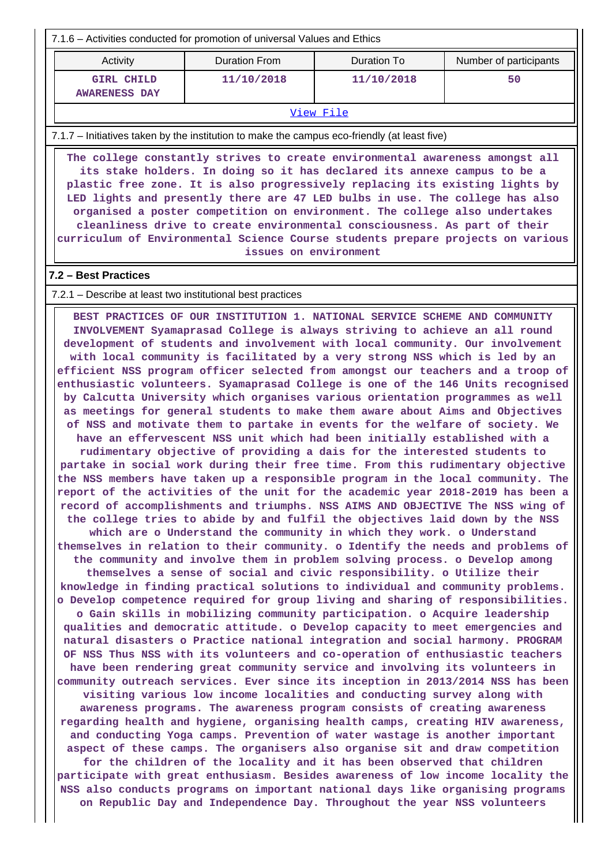| 7.1.6 – Activities conducted for promotion of universal Values and Ethics |  |
|---------------------------------------------------------------------------|--|
|---------------------------------------------------------------------------|--|

| Activity                                  | Duration From | Duration To | Number of participants |
|-------------------------------------------|---------------|-------------|------------------------|
| <b>GIRL CHILD</b><br><b>AWARENESS DAY</b> | 11/10/2018    | 11/10/2018  | 50                     |
|                                           | $- -$         | - - -       |                        |

#### [View File](https://assessmentonline.naac.gov.in/public/Postacc/promotion_activities/2479_promotion_activities_1583765770.xlsx)

7.1.7 – Initiatives taken by the institution to make the campus eco-friendly (at least five)

 **The college constantly strives to create environmental awareness amongst all its stake holders. In doing so it has declared its annexe campus to be a plastic free zone. It is also progressively replacing its existing lights by LED lights and presently there are 47 LED bulbs in use. The college has also organised a poster competition on environment. The college also undertakes cleanliness drive to create environmental consciousness. As part of their curriculum of Environmental Science Course students prepare projects on various issues on environment**

### **7.2 – Best Practices**

#### 7.2.1 – Describe at least two institutional best practices

 **BEST PRACTICES OF OUR INSTITUTION 1. NATIONAL SERVICE SCHEME AND COMMUNITY INVOLVEMENT Syamaprasad College is always striving to achieve an all round development of students and involvement with local community. Our involvement with local community is facilitated by a very strong NSS which is led by an efficient NSS program officer selected from amongst our teachers and a troop of enthusiastic volunteers. Syamaprasad College is one of the 146 Units recognised by Calcutta University which organises various orientation programmes as well as meetings for general students to make them aware about Aims and Objectives of NSS and motivate them to partake in events for the welfare of society. We have an effervescent NSS unit which had been initially established with a rudimentary objective of providing a dais for the interested students to partake in social work during their free time. From this rudimentary objective the NSS members have taken up a responsible program in the local community. The report of the activities of the unit for the academic year 2018-2019 has been a record of accomplishments and triumphs. NSS AIMS AND OBJECTIVE The NSS wing of the college tries to abide by and fulfil the objectives laid down by the NSS which are o Understand the community in which they work. o Understand themselves in relation to their community. o Identify the needs and problems of the community and involve them in problem solving process. o Develop among themselves a sense of social and civic responsibility. o Utilize their knowledge in finding practical solutions to individual and community problems. o Develop competence required for group living and sharing of responsibilities. o Gain skills in mobilizing community participation. o Acquire leadership qualities and democratic attitude. o Develop capacity to meet emergencies and natural disasters o Practice national integration and social harmony. PROGRAM OF NSS Thus NSS with its volunteers and co-operation of enthusiastic teachers have been rendering great community service and involving its volunteers in community outreach services. Ever since its inception in 2013/2014 NSS has been visiting various low income localities and conducting survey along with awareness programs. The awareness program consists of creating awareness regarding health and hygiene, organising health camps, creating HIV awareness, and conducting Yoga camps. Prevention of water wastage is another important aspect of these camps. The organisers also organise sit and draw competition for the children of the locality and it has been observed that children participate with great enthusiasm. Besides awareness of low income locality the NSS also conducts programs on important national days like organising programs on Republic Day and Independence Day. Throughout the year NSS volunteers**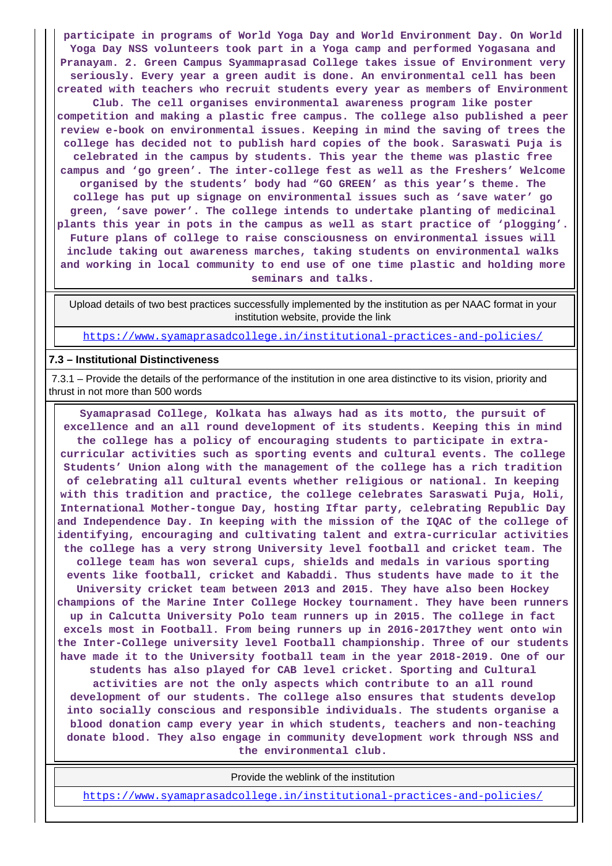**participate in programs of World Yoga Day and World Environment Day. On World Yoga Day NSS volunteers took part in a Yoga camp and performed Yogasana and Pranayam. 2. Green Campus Syammaprasad College takes issue of Environment very seriously. Every year a green audit is done. An environmental cell has been created with teachers who recruit students every year as members of Environment**

**Club. The cell organises environmental awareness program like poster competition and making a plastic free campus. The college also published a peer review e-book on environmental issues. Keeping in mind the saving of trees the college has decided not to publish hard copies of the book. Saraswati Puja is celebrated in the campus by students. This year the theme was plastic free campus and 'go green'. The inter-college fest as well as the Freshers' Welcome organised by the students' body had "GO GREEN' as this year's theme. The college has put up signage on environmental issues such as 'save water' go green, 'save power'. The college intends to undertake planting of medicinal plants this year in pots in the campus as well as start practice of 'plogging'. Future plans of college to raise consciousness on environmental issues will include taking out awareness marches, taking students on environmental walks and working in local community to end use of one time plastic and holding more seminars and talks.**

 Upload details of two best practices successfully implemented by the institution as per NAAC format in your institution website, provide the link

<https://www.syamaprasadcollege.in/institutional-practices-and-policies/>

#### **7.3 – Institutional Distinctiveness**

 7.3.1 – Provide the details of the performance of the institution in one area distinctive to its vision, priority and thrust in not more than 500 words

 **Syamaprasad College, Kolkata has always had as its motto, the pursuit of excellence and an all round development of its students. Keeping this in mind the college has a policy of encouraging students to participate in extracurricular activities such as sporting events and cultural events. The college Students' Union along with the management of the college has a rich tradition of celebrating all cultural events whether religious or national. In keeping with this tradition and practice, the college celebrates Saraswati Puja, Holi, International Mother-tongue Day, hosting Iftar party, celebrating Republic Day and Independence Day. In keeping with the mission of the IQAC of the college of identifying, encouraging and cultivating talent and extra-curricular activities the college has a very strong University level football and cricket team. The college team has won several cups, shields and medals in various sporting events like football, cricket and Kabaddi. Thus students have made to it the University cricket team between 2013 and 2015. They have also been Hockey champions of the Marine Inter College Hockey tournament. They have been runners up in Calcutta University Polo team runners up in 2015. The college in fact excels most in Football. From being runners up in 2016-2017they went onto win the Inter-College university level Football championship. Three of our students have made it to the University football team in the year 2018-2019. One of our students has also played for CAB level cricket. Sporting and Cultural activities are not the only aspects which contribute to an all round development of our students. The college also ensures that students develop into socially conscious and responsible individuals. The students organise a blood donation camp every year in which students, teachers and non-teaching donate blood. They also engage in community development work through NSS and the environmental club.**

Provide the weblink of the institution

<https://www.syamaprasadcollege.in/institutional-practices-and-policies/>